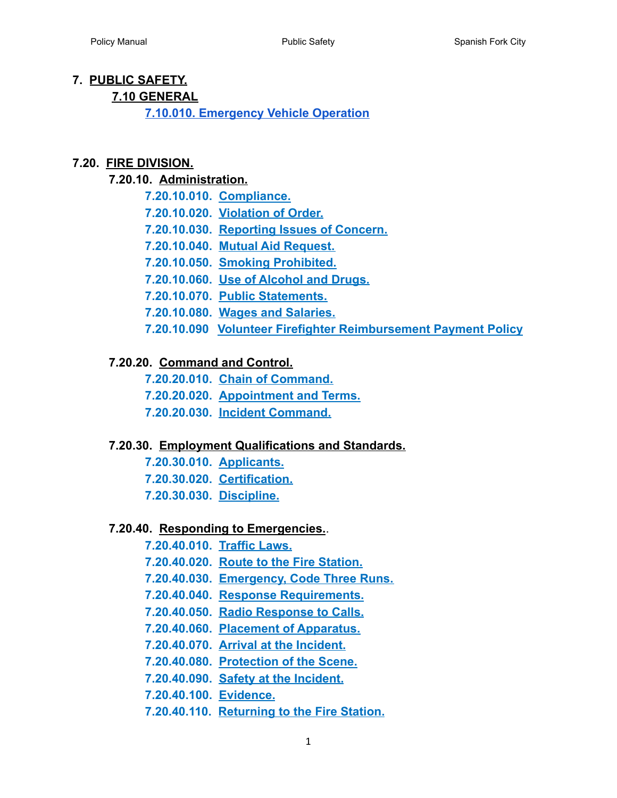#### **7. PUBLIC SAFETY.**

#### **7.10 GENERAL**

**[7.10.010. Emergency Vehicle Operation](#page-4-0)**

#### <span id="page-0-1"></span><span id="page-0-0"></span>**7.20. [FIRE DIVISION.](#page-8-0)**

#### <span id="page-0-5"></span><span id="page-0-4"></span><span id="page-0-3"></span><span id="page-0-2"></span>**7.20.10. [Administration.](#page-8-1)**

|  | 7.20.10.010. Compliance.                                       |
|--|----------------------------------------------------------------|
|  | 7.20.10.020. Violation of Order.                               |
|  | 7.20.10.030. Reporting Issues of Concern.                      |
|  | 7.20.10.040. Mutual Aid Request.                               |
|  | 7.20.10.050. Smoking Prohibited.                               |
|  | 7.20.10.060. Use of Alcohol and Drugs.                         |
|  | 7.20.10.070. Public Statements.                                |
|  | 7.20.10.080. Wages and Salaries.                               |
|  | 7.20.10.090 Volunteer Firefighter Reimbursement Payment Policy |

#### <span id="page-0-12"></span><span id="page-0-11"></span><span id="page-0-10"></span><span id="page-0-9"></span><span id="page-0-8"></span><span id="page-0-7"></span><span id="page-0-6"></span>**7.20.20. [Command and Control.](#page-11-0)**

- **7.20.20.010. [Chain of Command.](#page-11-1)**
- **7.20.20.020. [Appointment and Terms.](#page-11-2)**
- **7.20.20.030. [Incident Command.](#page-11-3)**

#### <span id="page-0-16"></span><span id="page-0-15"></span><span id="page-0-14"></span><span id="page-0-13"></span>**7.20.30. [Employment Qualifications and Standards.](#page-12-0)**

**7.20.30.010. [Applicants.](#page-12-1) 7.20.30.020. [Certification.](#page-12-2)**

**7.20.30.030. [Discipline.](#page-12-3)**

#### <span id="page-0-20"></span><span id="page-0-19"></span><span id="page-0-18"></span><span id="page-0-17"></span>**7.20.40. [Responding to Emergencies.](#page-14-0)**.

**7.20.40.010. [Traffic Laws.](#page-14-1)**

- **7.20.40.020. [Route to the Fire Station.](#page-14-2)**
- **7.20.40.030. Emergency, Code Three Runs.**
- <span id="page-0-21"></span>**7.20.40.040. [Response Requirements.](#page-15-0)**
- <span id="page-0-22"></span>**7.20.40.050. [Radio Response to Calls.](#page-16-0)**
- <span id="page-0-23"></span>**7.20.40.060. [Placement of Apparatus.](#page-16-1)**
- <span id="page-0-24"></span>**7.20.40.070. [Arrival at the Incident.](#page-16-2)**
- <span id="page-0-25"></span>**7.20.40.080. [Protection of the Scene.](#page-16-3)**
- <span id="page-0-26"></span>**7.20.40.090. [Safety at the Incident.](#page-16-4)**
- <span id="page-0-27"></span>**7.20.40.100. [Evidence.](#page-17-0)**
- <span id="page-0-28"></span>**7.20.40.110. [Returning to the Fire Station.](#page-17-1)**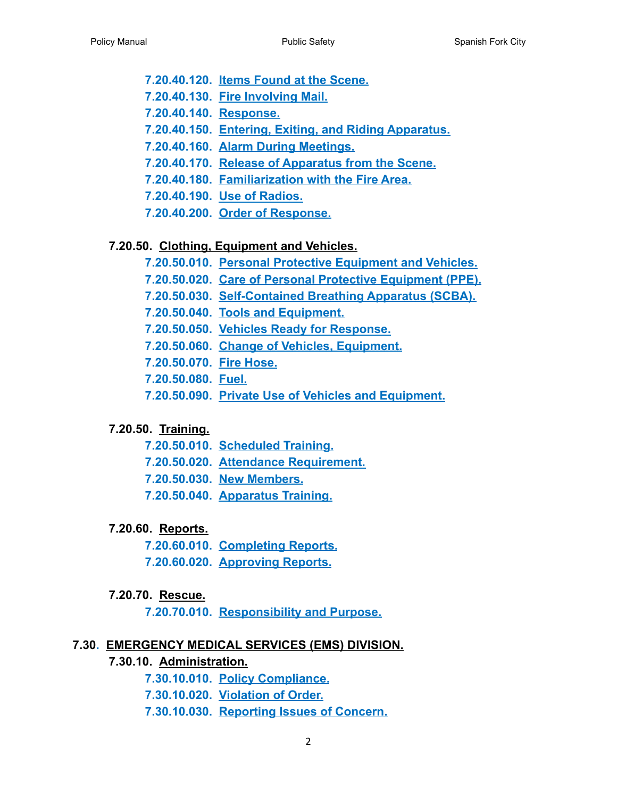- <span id="page-1-0"></span>**7.20.40.120. [Items Found at the Scene.](#page-17-2)**
- <span id="page-1-1"></span>**7.20.40.130. [Fire Involving Mail.](#page-18-0)**
- <span id="page-1-3"></span><span id="page-1-2"></span>**7.20.40.140. [Response.](#page-18-1)**
- **7.20.40.150. [Entering, Exiting, and Riding Apparatus.](#page-18-2)**
- <span id="page-1-5"></span><span id="page-1-4"></span>**7.20.40.160. [Alarm During Meetings.](#page-18-3)**
- **7.20.40.170. [Release of Apparatus from the Scene.](#page-18-4)**
- <span id="page-1-6"></span>**7.20.40.180. [Familiarization with the Fire Area.](#page-18-5)**
- **7.20.40.190. [Use of Radios.](#page-18-6)**
- **7.20.40.200. [Order of Response.](#page-19-0)**

#### <span id="page-1-12"></span><span id="page-1-11"></span><span id="page-1-10"></span><span id="page-1-9"></span><span id="page-1-8"></span><span id="page-1-7"></span>**7.20.50. [Clothing, Equipment and Vehicles.](#page-20-0)**

- **7.20.50.010. [Personal Protective Equipment and Vehicles.](#page-20-1)**
- **7.20.50.020. [Care of Personal Protective Equipment](#page-20-2) (PPE).**
- **7.20.50.030. [Self-Contained Breathing Apparatus \(SCBA\).](#page-21-0)**
- <span id="page-1-13"></span>**7.20.50.040. [Tools and Equipment.](#page-21-1)**
- <span id="page-1-14"></span>**7.20.50.050. [Vehicles Ready for Response.](#page-21-2)**
- <span id="page-1-15"></span>**7.20.50.060. [Change of Vehicles, Equipment.](#page-21-3)**
- <span id="page-1-16"></span>**7.20.50.070. [Fire Hose.](#page-22-0)**
- **7.20.50.080. [Fuel.](#page-22-1)**
- **7.20.50.090. [Private Use of Vehicles and Equipment.](#page-22-2)**

#### <span id="page-1-21"></span><span id="page-1-20"></span><span id="page-1-19"></span><span id="page-1-18"></span><span id="page-1-17"></span>**7.20.50. [Training.](#page-23-0)**

- **7.20.50.010. [Scheduled Training.](#page-23-1)**
- **7.20.50.020. Attendance Requirement.**
- **7.20.50.030. [New Members.](#page-23-2)**
- **7.20.50.040. [Apparatus Training.](#page-24-0)**

#### <span id="page-1-24"></span><span id="page-1-23"></span><span id="page-1-22"></span>**7.20.60. [Reports.](#page-25-0)**

- **7.20.60.010. [Completing Reports.](#page-25-1)**
- **7.20.60.020. Approving Reports.**

#### <span id="page-1-25"></span>**7.20.70. [Rescue.](#page-26-0)**

**7.20.70.010. [Responsibility and Purpose.](#page-26-1)**

#### <span id="page-1-29"></span><span id="page-1-28"></span><span id="page-1-27"></span><span id="page-1-26"></span>**7.30. [EMERGENCY MEDICAL SERVICES \(EMS\) DIVISION.](#page-27-0)**

- <span id="page-1-31"></span><span id="page-1-30"></span>**7.30.10. [Administration.](#page-27-1)**
	- **7.30.10.010. [Policy Compliance.](#page-27-2)**
	- **7.30.10.020. [Violation of Order.](#page-27-3)**
	- **7.30.10.030. [Reporting Issues of Concern.](#page-27-4)**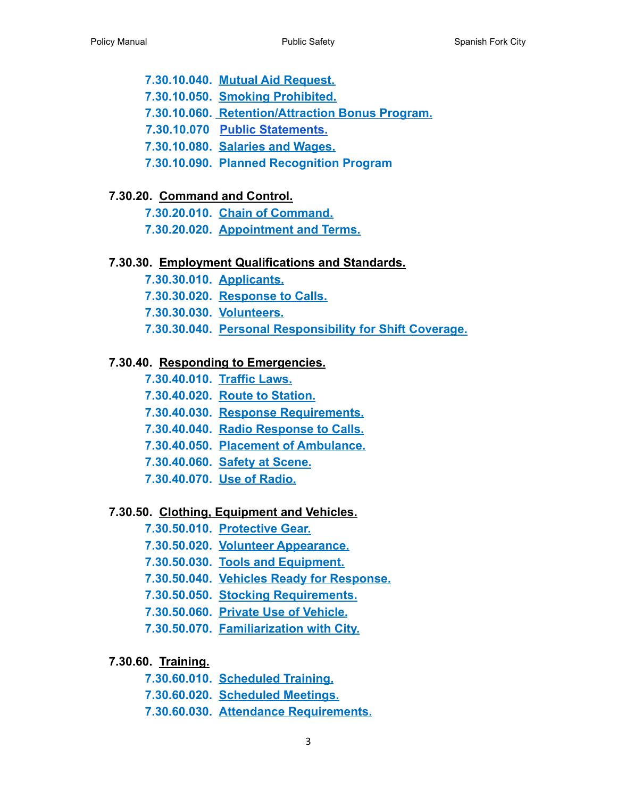<span id="page-2-2"></span><span id="page-2-1"></span><span id="page-2-0"></span>**7.30.10.040. [Mutual Aid Request.](#page-27-5) 7.30.10.050. [Smoking Prohibited.](#page-28-0) 7.30.10.060. [Retention/Attraction Bonus Program.](#page-28-1) 7.30.10.070 [Public Statements.](#page-29-0) 7.30.10.080. [Salaries and Wages.](#page-29-1) [7.30.10.090. Planned Recognition Program](#page-29-2)**

#### <span id="page-2-6"></span><span id="page-2-5"></span><span id="page-2-4"></span><span id="page-2-3"></span>**7.30.20. [Command and Control.](#page-31-0)**

**7.30.20.010. [Chain of Command.](#page-31-1)**

**7.30.20.020. [Appointment and Terms.](#page-31-2)**

#### <span id="page-2-7"></span>**7.30.30. [Employment Qualifications and Standards.](#page-32-0)**

**7.30.30.010. [Applicants.](#page-32-1)**

**7.30.30.020. [Response to Calls.](#page-32-1)**

**7.30.30.030. [Volunteers.](#page-32-1)**

**7.30.30.040. [Personal Responsibility for Shift Coverage.](#page-32-1)**

#### <span id="page-2-11"></span><span id="page-2-10"></span><span id="page-2-9"></span><span id="page-2-8"></span>**7.30.40. [Responding to Emergencies.](#page-34-0)**

- **7.30.40.010. [Traffic Laws.](#page-34-1)**
- **7.30.40.020. [Route to Station.](#page-34-2)**
- **7.30.40.030. Response Requirements.**
- <span id="page-2-12"></span>**7.30.40.040. [Radio Response to Calls.](#page-34-3)**
- **7.30.40.050. [Placement of Ambulance.](#page-34-4)**
- <span id="page-2-13"></span>**7.30.40.060. [Safety at Scene.](#page-35-0)**
- **7.30.40.070. [Use of Radio.](#page-35-1)**

#### <span id="page-2-19"></span><span id="page-2-18"></span><span id="page-2-17"></span><span id="page-2-16"></span><span id="page-2-15"></span><span id="page-2-14"></span>**7.30.50. [Clothing, Equipment and Vehicles.](#page-36-0)**

- **7.30.50.010. [Protective Gear.](#page-36-1)**
- **7.30.50.020. [Volunteer Appearance.](#page-36-2)**
- **7.30.50.030. [Tools and Equipment.](#page-36-3)**
- <span id="page-2-20"></span>**7.30.50.040. [Vehicles Ready for Response.](#page-36-4)**
- <span id="page-2-21"></span>**7.30.50.050. [Stocking Requirements.](#page-36-5)**
- **7.30.50.060. Private Use of Vehicle.**
- **7.30.50.070. [Familiarization with City.](#page-37-0)**

#### <span id="page-2-26"></span><span id="page-2-25"></span><span id="page-2-24"></span><span id="page-2-23"></span><span id="page-2-22"></span>**7.30.60. [Training.](#page-38-0)**

- **7.30.60.010. [Scheduled Training.](#page-38-1)**
- **7.30.60.020. [Scheduled Meetings.](#page-38-2)**
- **7.30.60.030. [Attendance Requirements.](#page-38-3)**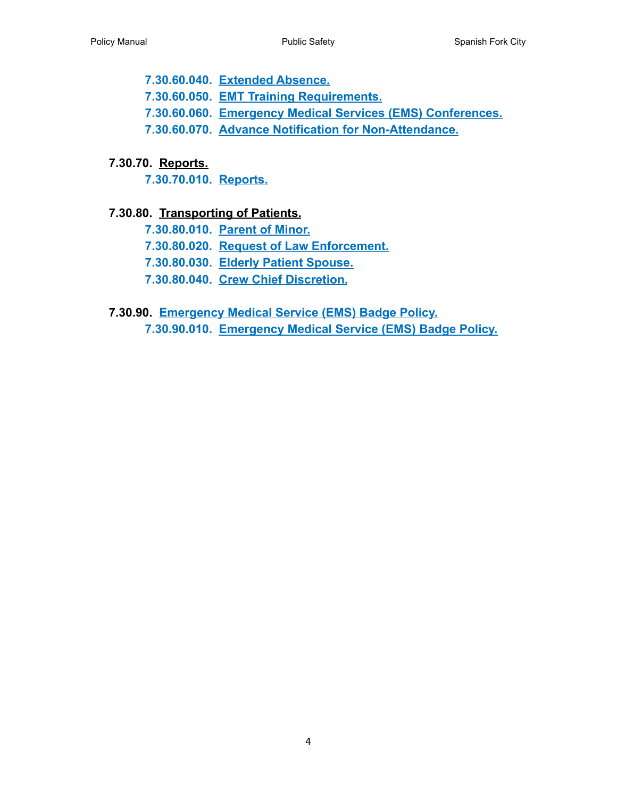<span id="page-3-1"></span><span id="page-3-0"></span>**7.30.60.040. [Extended Absence.](#page-39-0) 7.30.60.050. [EMT Training Requirements.](#page-39-1) 7.30.60.060. [Emergency Medical Services \(EMS\) Conferences.](#page-39-2) 7.30.60.070. Advance Notification for Non-Attendance.**

#### <span id="page-3-4"></span><span id="page-3-3"></span><span id="page-3-2"></span>**7.30.70. [Reports.](#page-41-0)**

**7.30.70.010. [Reports.](#page-41-1)**

#### <span id="page-3-8"></span><span id="page-3-7"></span><span id="page-3-6"></span><span id="page-3-5"></span>**7.30.80. [Transporting of Patients.](#page-42-0)**

- **7.30.80.010. [Parent of Minor.](#page-42-1)**
- **7.30.80.020. [Request of Law Enforcement.](#page-42-2)**
- **7.30.80.030. [Elderly Patient Spouse.](#page-42-3)**
- **7.30.80.040. [Crew Chief Discretion.](#page-42-4)**
- <span id="page-3-11"></span><span id="page-3-10"></span><span id="page-3-9"></span>**7.30.90. [Emergency Medical Service \(EMS\) Badge Policy.](#page-43-0)**
	- **7.30.90.010. [Emergency Medical Service \(EMS\) Badge](#page-43-1) Policy.**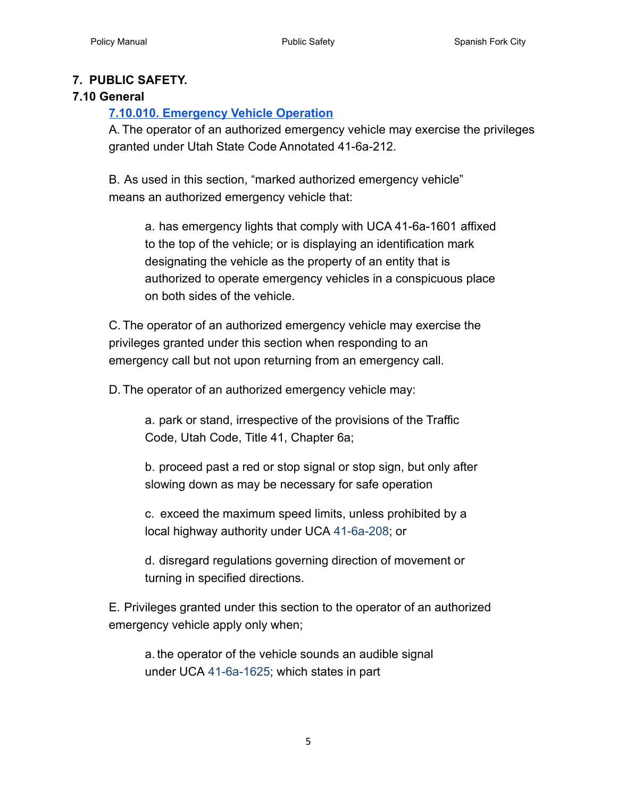#### **7. PUBLIC SAFETY.**

#### <span id="page-4-0"></span>**7.10 General**

# **[7.10.010. Emergency Vehicle Operation](https://olathe.municipal.codes/Code/10.01.010)**

A. The operator of an authorized emergency vehicle may exercise the privileges granted under Utah State Code Annotated 41-6a-212.

B. As used in this section, "marked authorized emergency vehicle" means an authorized emergency vehicle that:

> a. has emergency lights that comply with UCA 41-6a-1601 affixed to the top of the vehicle; or is displaying an identification mark designating the vehicle as the property of an entity that is authorized to operate emergency vehicles in a conspicuous place on both sides of the vehicle.

C. The operator of an authorized emergency vehicle may exercise the privileges granted under this section when responding to an emergency call but not upon returning from an emergency call.

D. The operator of an authorized emergency vehicle may:

a. park or stand, irrespective of the provisions of the Traffic Code, Utah Code, Title 41, Chapter 6a;

b. proceed past a red or stop signal or stop sign, but only after slowing down as may be necessary for safe operation

c. exceed the maximum speed limits, unless prohibited by a local highway authority under UCA 41-6a-208; or

d. disregard regulations governing direction of movement or turning in specified directions.

E. Privileges granted under this section to the operator of an authorized emergency vehicle apply only when;

a. the operator of the vehicle sounds an audible signal under UCA 41-6a-1625; which states in part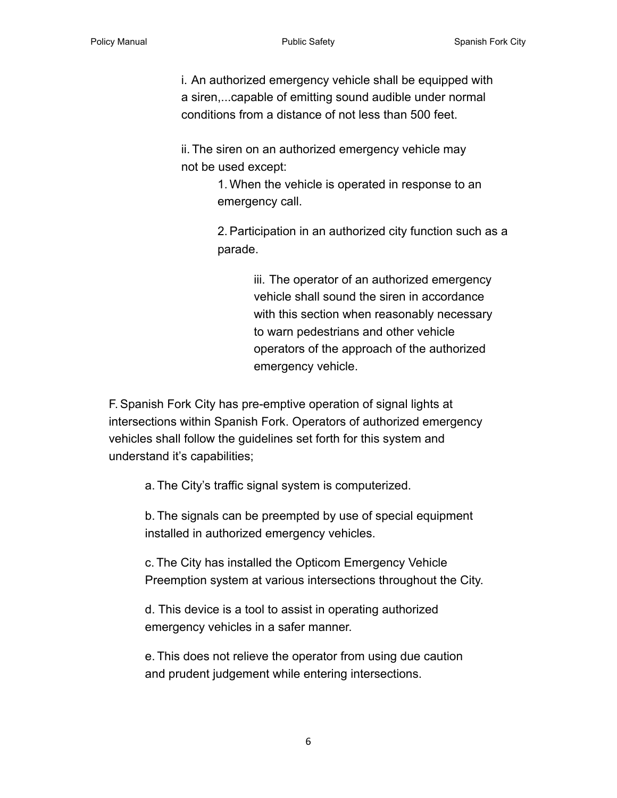i. An authorized emergency vehicle shall be equipped with a siren,...capable of emitting sound audible under normal conditions from a distance of not less than 500 feet.

ii. The siren on an authorized emergency vehicle may not be used except:

> 1. When the vehicle is operated in response to an emergency call.

2.Participation in an authorized city function such as a parade.

> iii. The operator of an authorized emergency vehicle shall sound the siren in accordance with this section when reasonably necessary to warn pedestrians and other vehicle operators of the approach of the authorized emergency vehicle.

F.Spanish Fork City has pre-emptive operation of signal lights at intersections within Spanish Fork. Operators of authorized emergency vehicles shall follow the guidelines set forth for this system and understand it's capabilities;

a. The City's traffic signal system is computerized.

b. The signals can be preempted by use of special equipment installed in authorized emergency vehicles.

c. The City has installed the Opticom Emergency Vehicle Preemption system at various intersections throughout the City.

d. This device is a tool to assist in operating authorized emergency vehicles in a safer manner.

e. This does not relieve the operator from using due caution and prudent judgement while entering intersections.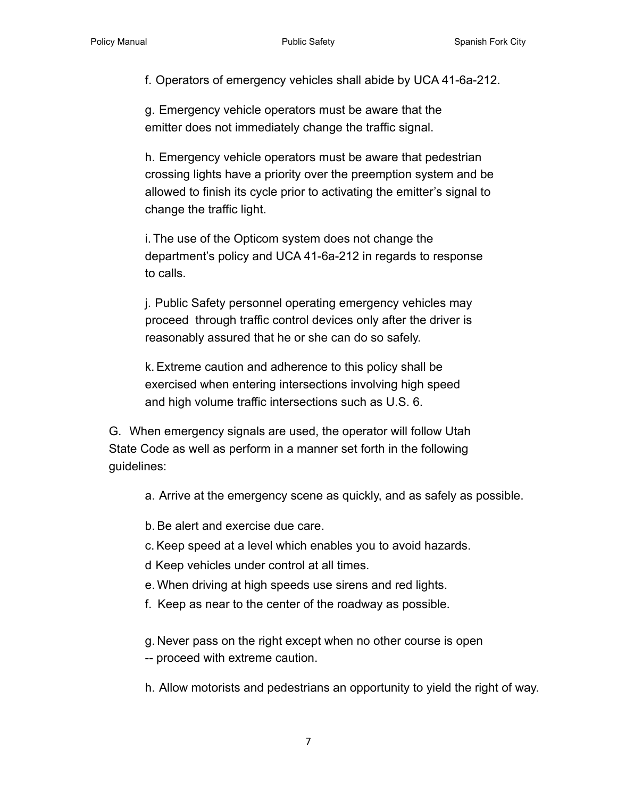f. Operators of emergency vehicles shall abide by UCA 41-6a-212.

g. Emergency vehicle operators must be aware that the emitter does not immediately change the traffic signal.

h. Emergency vehicle operators must be aware that pedestrian crossing lights have a priority over the preemption system and be allowed to finish its cycle prior to activating the emitter's signal to change the traffic light.

i. The use of the Opticom system does not change the department's policy and UCA 41-6a-212 in regards to response to calls.

j. Public Safety personnel operating emergency vehicles may proceed through traffic control devices only after the driver is reasonably assured that he or she can do so safely.

k.Extreme caution and adherence to this policy shall be exercised when entering intersections involving high speed and high volume traffic intersections such as U.S. 6.

G. When emergency signals are used, the operator will follow Utah State Code as well as perform in a manner set forth in the following guidelines:

a. Arrive at the emergency scene as quickly, and as safely as possible.

b.Be alert and exercise due care.

c.Keep speed at a level which enables you to avoid hazards.

d Keep vehicles under control at all times.

e. When driving at high speeds use sirens and red lights.

f. Keep as near to the center of the roadway as possible.

g. Never pass on the right except when no other course is open

-- proceed with extreme caution.

h. Allow motorists and pedestrians an opportunity to yield the right of way.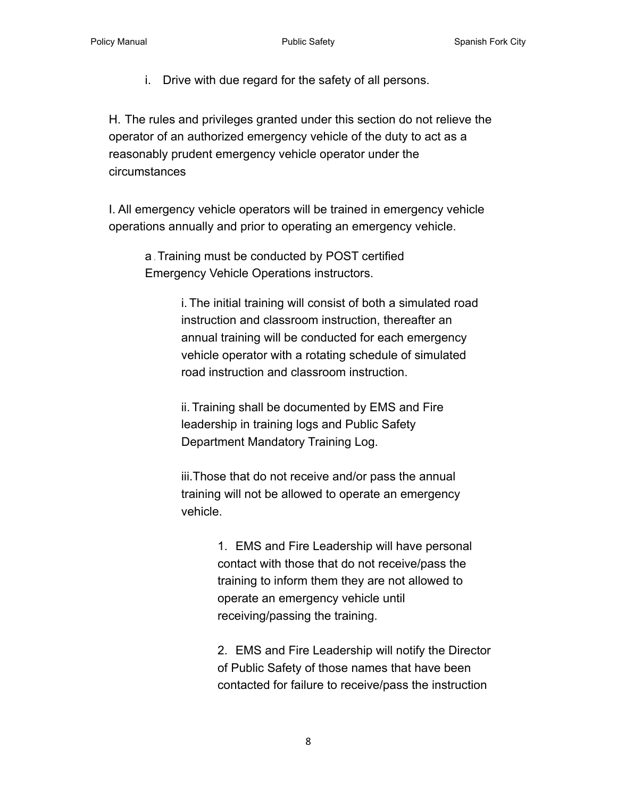i. Drive with due regard for the safety of all persons.

H. The rules and privileges granted under this section do not relieve the operator of an authorized emergency vehicle of the duty to act as a reasonably prudent emergency vehicle operator under the circumstances

I. All emergency vehicle operators will be trained in emergency vehicle operations annually and prior to operating an emergency vehicle.

a . Training must be conducted by POST certified Emergency Vehicle Operations instructors.

> i. The initial training will consist of both a simulated road instruction and classroom instruction, thereafter an annual training will be conducted for each emergency vehicle operator with a rotating schedule of simulated road instruction and classroom instruction.

ii. Training shall be documented by EMS and Fire leadership in training logs and Public Safety Department Mandatory Training Log.

iii.Those that do not receive and/or pass the annual training will not be allowed to operate an emergency vehicle.

> 1. EMS and Fire Leadership will have personal contact with those that do not receive/pass the training to inform them they are not allowed to operate an emergency vehicle until receiving/passing the training.

2. EMS and Fire Leadership will notify the Director of Public Safety of those names that have been contacted for failure to receive/pass the instruction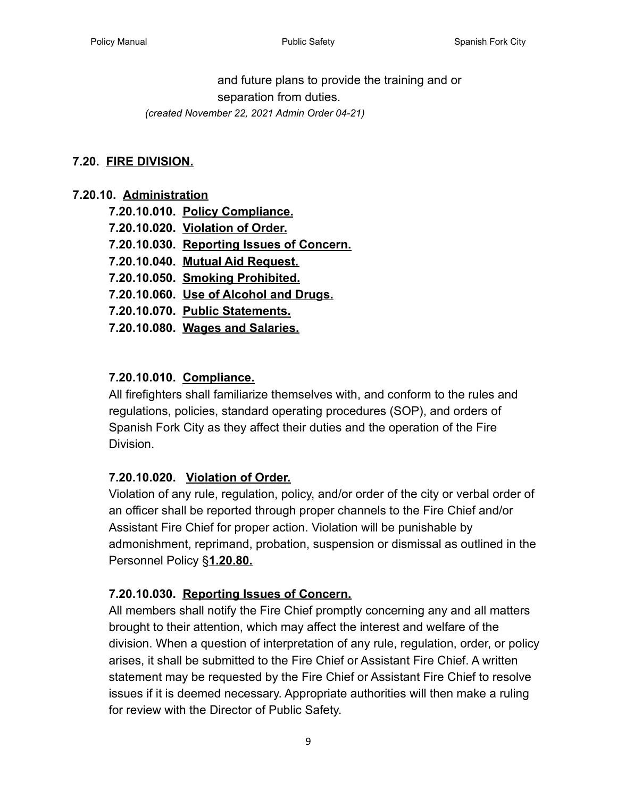and future plans to provide the training and or separation from duties.

*(created November 22, 2021 Admin Order 04-21)*

#### <span id="page-8-0"></span>**7.20. [FIRE DIVISION.](#page-0-0)**

#### <span id="page-8-1"></span>**7.20.10. Administration**

| 7.20.10.010. Policy Compliance.           |
|-------------------------------------------|
| 7.20.10.020. Violation of Order.          |
| 7.20.10.030. Reporting Issues of Concern. |
| 7.20.10.040. Mutual Aid Request.          |
| 7.20.10.050. Smoking Prohibited.          |
| 7.20.10.060. Use of Alcohol and Drugs.    |
| 7.20.10.070. Public Statements.           |
| 7.20.10.080. Wages and Salaries.          |

#### <span id="page-8-2"></span>**7.20.10.010. [Compliance.](#page-0-1)**

All firefighters shall familiarize themselves with, and conform to the rules and regulations, policies, standard operating procedures (SOP), and orders of Spanish Fork City as they affect their duties and the operation of the Fire Division.

#### <span id="page-8-3"></span>**7.20.10.020. [Violation of Order.](#page-0-2)**

Violation of any rule, regulation, policy, and/or order of the city or verbal order of an officer shall be reported through proper channels to the Fire Chief and/or Assistant Fire Chief for proper action. Violation will be punishable by admonishment, reprimand, probation, suspension or dismissal as outlined in the Personnel Policy §**1.20.80.**

#### <span id="page-8-4"></span>**7.20.10.030. [Reporting Issues of Concern.](#page-0-3)**

All members shall notify the Fire Chief promptly concerning any and all matters brought to their attention, which may affect the interest and welfare of the division. When a question of interpretation of any rule, regulation, order, or policy arises, it shall be submitted to the Fire Chief or Assistant Fire Chief. A written statement may be requested by the Fire Chief or Assistant Fire Chief to resolve issues if it is deemed necessary. Appropriate authorities will then make a ruling for review with the Director of Public Safety.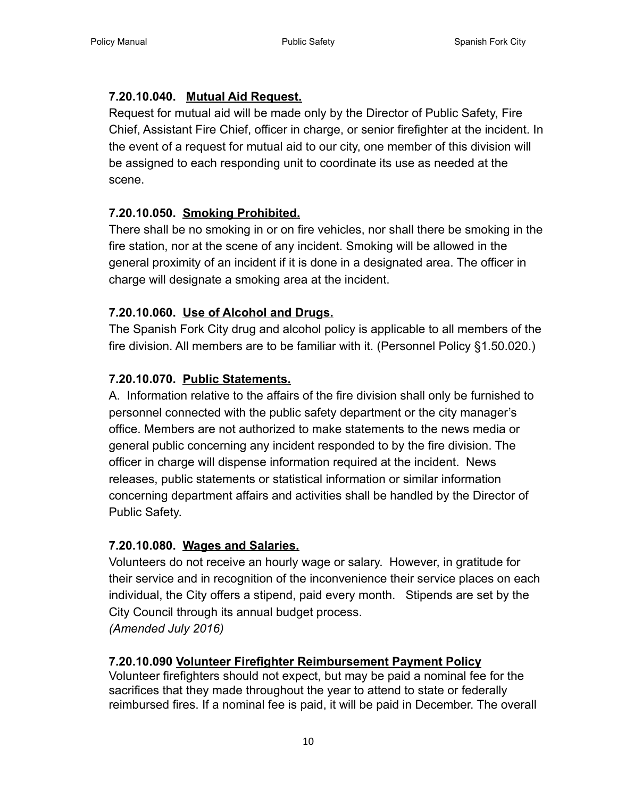# <span id="page-9-0"></span>**7.20.10.040. [Mutual Aid Request.](#page-0-4)**

Request for mutual aid will be made only by the Director of Public Safety, Fire Chief, Assistant Fire Chief, officer in charge, or senior firefighter at the incident. In the event of a request for mutual aid to our city, one member of this division will be assigned to each responding unit to coordinate its use as needed at the scene.

# <span id="page-9-1"></span>**7.20.10.050. [Smoking Prohibited.](#page-0-5)**

There shall be no smoking in or on fire vehicles, nor shall there be smoking in the fire station, nor at the scene of any incident. Smoking will be allowed in the general proximity of an incident if it is done in a designated area. The officer in charge will designate a smoking area at the incident.

# <span id="page-9-2"></span>**7.20.10.060. [Use of Alcohol and Drugs.](#page-0-6)**

The Spanish Fork City drug and alcohol policy is applicable to all members of the fire division. All members are to be familiar with it. (Personnel Policy §1.50.020.)

# <span id="page-9-3"></span>**7.20.10.070. [Public Statements.](#page-0-7)**

A. Information relative to the affairs of the fire division shall only be furnished to personnel connected with the public safety department or the city manager's office. Members are not authorized to make statements to the news media or general public concerning any incident responded to by the fire division. The officer in charge will dispense information required at the incident. News releases, public statements or statistical information or similar information concerning department affairs and activities shall be handled by the Director of Public Safety.

# <span id="page-9-4"></span>**7.20.10.080. [Wages and Salaries.](#page-0-8)**

Volunteers do not receive an hourly wage or salary. However, in gratitude for their service and in recognition of the inconvenience their service places on each individual, the City offers a stipend, paid every month. Stipends are set by the City Council through its annual budget process. *(Amended July 2016)*

# <span id="page-9-5"></span>**7.20.10.090 [Volunteer Firefighter Reimbursement Payment](#page-0-9) Policy**

Volunteer firefighters should not expect, but may be paid a nominal fee for the sacrifices that they made throughout the year to attend to state or federally reimbursed fires. If a nominal fee is paid, it will be paid in December. The overall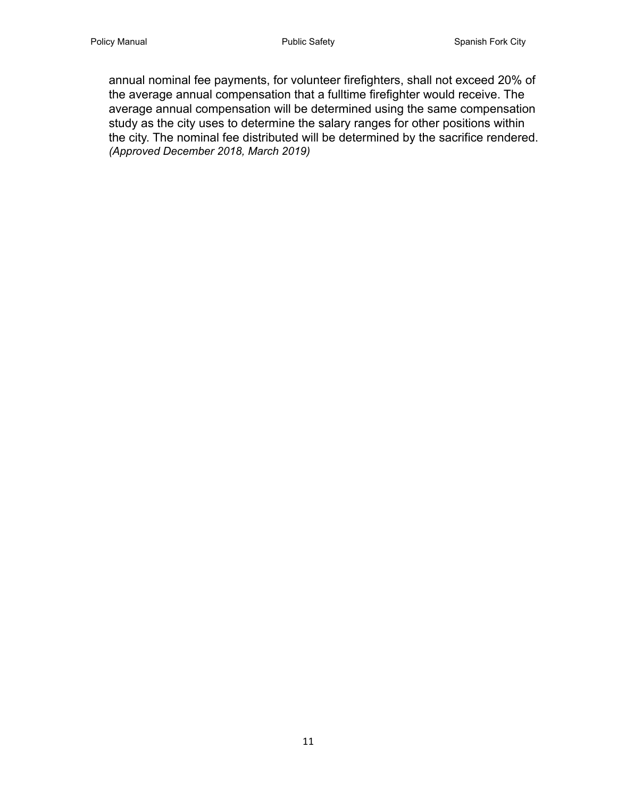annual nominal fee payments, for volunteer firefighters, shall not exceed 20% of the average annual compensation that a fulltime firefighter would receive. The average annual compensation will be determined using the same compensation study as the city uses to determine the salary ranges for other positions within the city. The nominal fee distributed will be determined by the sacrifice rendered. *(Approved December 2018, March 2019)*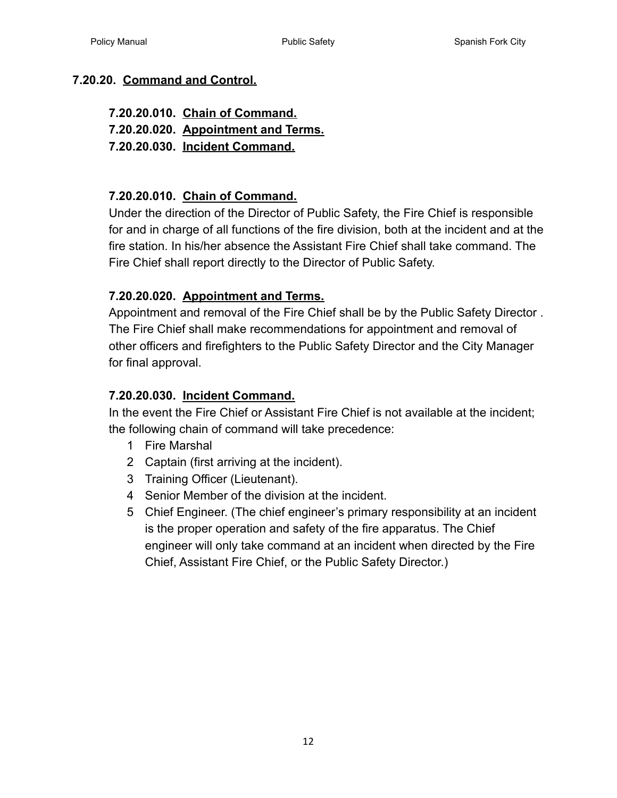#### <span id="page-11-0"></span>**7.20.20. [Command and Control.](#page-0-10)**

#### **7.20.20.010. [Chain of Command.](#page-11-1)**

**7.20.20.020. [Appointment and Terms.](#page-11-2)**

**7.20.20.030. [Incident Command.](#page-11-3)**

#### <span id="page-11-1"></span>**7.20.20.010. [Chain of Command.](#page-0-11)**

Under the direction of the Director of Public Safety, the Fire Chief is responsible for and in charge of all functions of the fire division, both at the incident and at the fire station. In his/her absence the Assistant Fire Chief shall take command. The Fire Chief shall report directly to the Director of Public Safety.

#### <span id="page-11-2"></span>**7.20.20.020. [Appointment and Terms.](#page-0-12)**

Appointment and removal of the Fire Chief shall be by the Public Safety Director . The Fire Chief shall make recommendations for appointment and removal of other officers and firefighters to the Public Safety Director and the City Manager for final approval.

#### <span id="page-11-3"></span>**7.20.20.030. [Incident Command.](#page-0-13)**

In the event the Fire Chief or Assistant Fire Chief is not available at the incident; the following chain of command will take precedence:

- 1 Fire Marshal
- 2 Captain (first arriving at the incident).
- 3 Training Officer (Lieutenant).
- 4 Senior Member of the division at the incident.
- 5 Chief Engineer. (The chief engineer's primary responsibility at an incident is the proper operation and safety of the fire apparatus. The Chief engineer will only take command at an incident when directed by the Fire Chief, Assistant Fire Chief, or the Public Safety Director.)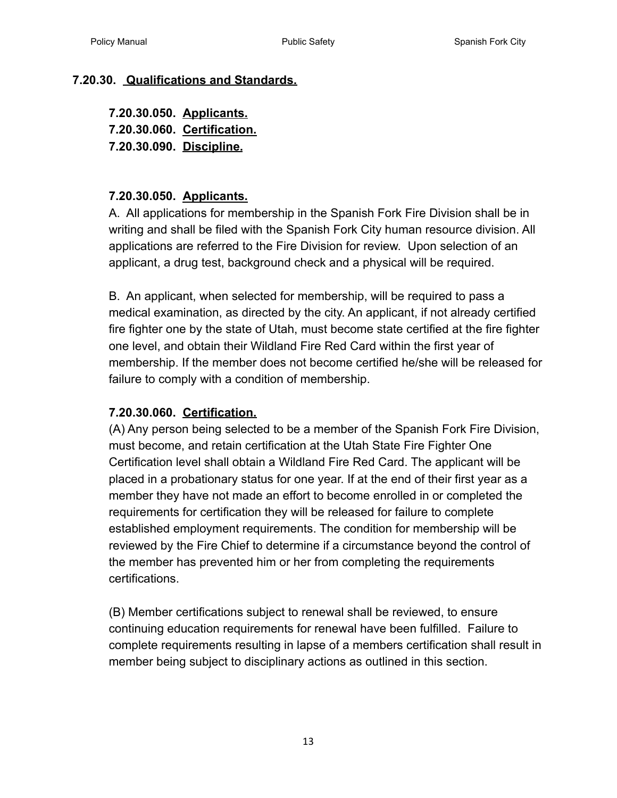#### <span id="page-12-1"></span><span id="page-12-0"></span>**7.20.30. [Qualifications and Standards.](#page-0-14)**

<span id="page-12-3"></span><span id="page-12-2"></span>**7.20.30.050. [Applicants.](#page-0-15) 7.20.30.060. [Certification.](#page-0-16) 7.20.30.090. [Discipline.](#page-0-17)**

#### **7.20.30.050. Applicants.**

A. All applications for membership in the Spanish Fork Fire Division shall be in writing and shall be filed with the Spanish Fork City human resource division. All applications are referred to the Fire Division for review. Upon selection of an applicant, a drug test, background check and a physical will be required.

B. An applicant, when selected for membership, will be required to pass a medical examination, as directed by the city. An applicant, if not already certified fire fighter one by the state of Utah, must become state certified at the fire fighter one level, and obtain their Wildland Fire Red Card within the first year of membership. If the member does not become certified he/she will be released for failure to comply with a condition of membership.

#### **7.20.30.060. Certification.**

(A) Any person being selected to be a member of the Spanish Fork Fire Division, must become, and retain certification at the Utah State Fire Fighter One Certification level shall obtain a Wildland Fire Red Card. The applicant will be placed in a probationary status for one year. If at the end of their first year as a member they have not made an effort to become enrolled in or completed the requirements for certification they will be released for failure to complete established employment requirements. The condition for membership will be reviewed by the Fire Chief to determine if a circumstance beyond the control of the member has prevented him or her from completing the requirements certifications.

(B) Member certifications subject to renewal shall be reviewed, to ensure continuing education requirements for renewal have been fulfilled. Failure to complete requirements resulting in lapse of a members certification shall result in member being subject to disciplinary actions as outlined in this section.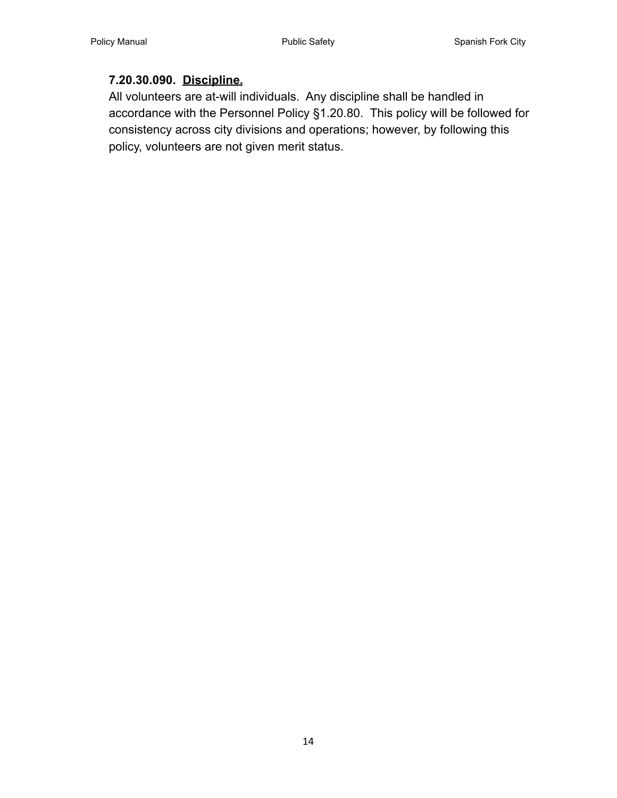#### **7.20.30.090. Discipline.**

All volunteers are at-will individuals. Any discipline shall be handled in accordance with the Personnel Policy §1.20.80. This policy will be followed for consistency across city divisions and operations; however, by following this policy, volunteers are not given merit status.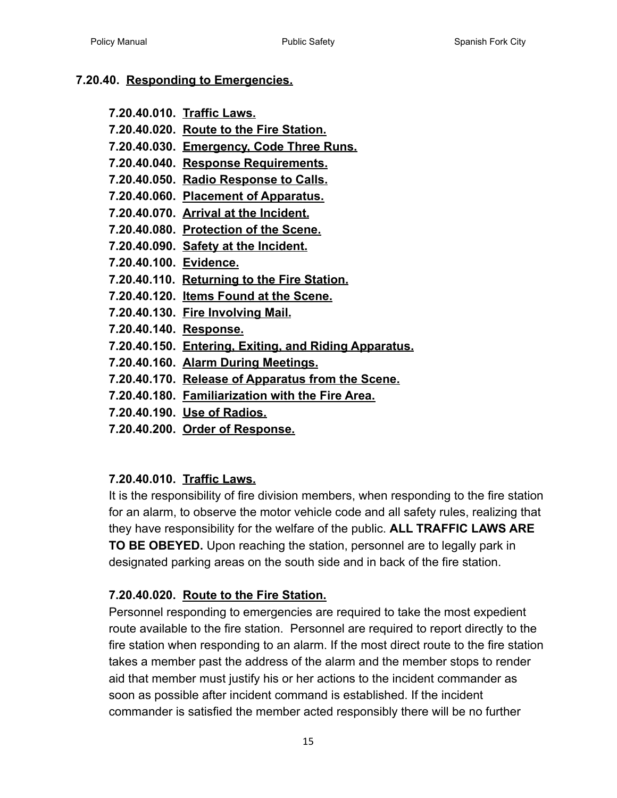#### <span id="page-14-0"></span>**7.20.40. [Responding to Emergencies.](#page-0-18)**

- **7.20.40.010. [Traffic Laws.](#page-14-1)**
- **7.20.40.020. [Route to the Fire Station.](#page-14-2)**
- **7.20.40.030. Emergency, Code Three Runs.**
- **7.20.40.040. [Response Requirements.](#page-15-0)**
- **7.20.40.050. [Radio Response to Calls.](#page-16-0)**
- **7.20.40.060. [Placement of Apparatus.](#page-16-1)**
- **7.20.40.070. [Arrival at the Incident.](#page-16-2)**
- **7.20.40.080. [Protection of the Scene.](#page-16-3)**
- **7.20.40.090. [Safety at the Incident.](#page-16-4)**
- **7.20.40.100. [Evidence.](#page-17-0)**
- **7.20.40.110. [Returning to the Fire Station.](#page-17-1)**
- **7.20.40.120. [Items Found at the Scene.](#page-17-2)**
- **7.20.40.130. [Fire Involving Mail.](#page-18-0)**
- **7.20.40.140. [Response.](#page-18-1)**
- **7.20.40.150. [Entering, Exiting, and Riding Apparatus.](#page-18-2)**
- **7.20.40.160. [Alarm During Meetings.](#page-18-3)**
- **7.20.40.170. [Release of Apparatus from the Scene.](#page-18-4)**
- **7.20.40.180. [Familiarization with the Fire Area.](#page-18-5)**
- **7.20.40.190. [Use of Radios.](#page-18-6)**
- **7.20.40.200. [Order of Response.](#page-19-0)**

# <span id="page-14-1"></span>**7.20.40.010. [Traffic Laws.](#page-0-19)**

It is the responsibility of fire division members, when responding to the fire station for an alarm, to observe the motor vehicle code and all safety rules, realizing that they have responsibility for the welfare of the public. **ALL TRAFFIC LAWS ARE TO BE OBEYED.** Upon reaching the station, personnel are to legally park in designated parking areas on the south side and in back of the fire station.

# <span id="page-14-2"></span>**7.20.40.020. [Route to the Fire Station.](#page-0-20)**

Personnel responding to emergencies are required to take the most expedient route available to the fire station. Personnel are required to report directly to the fire station when responding to an alarm. If the most direct route to the fire station takes a member past the address of the alarm and the member stops to render aid that member must justify his or her actions to the incident commander as soon as possible after incident command is established. If the incident commander is satisfied the member acted responsibly there will be no further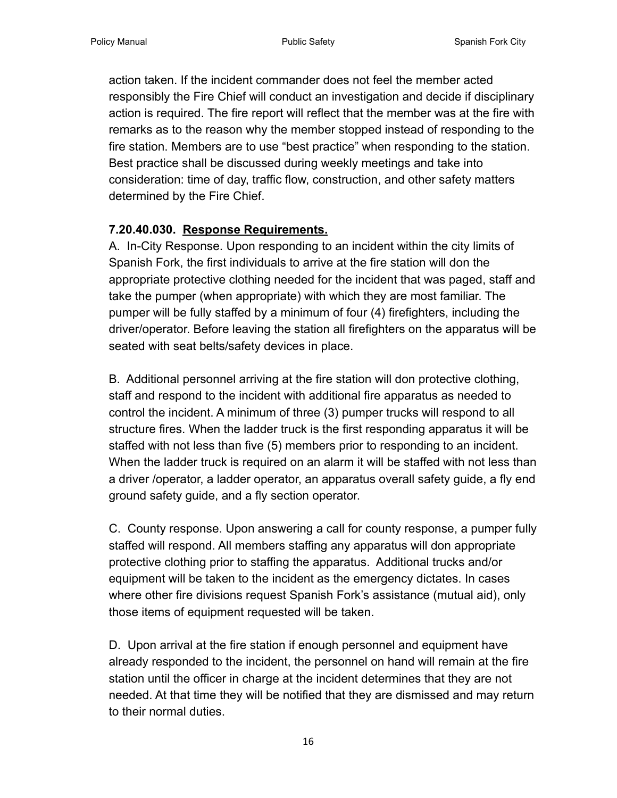action taken. If the incident commander does not feel the member acted responsibly the Fire Chief will conduct an investigation and decide if disciplinary action is required. The fire report will reflect that the member was at the fire with remarks as to the reason why the member stopped instead of responding to the fire station. Members are to use "best practice" when responding to the station. Best practice shall be discussed during weekly meetings and take into consideration: time of day, traffic flow, construction, and other safety matters determined by the Fire Chief.

# <span id="page-15-0"></span>**7.20.40.030. [Response Requirements.](#page-0-21)**

A. In-City Response. Upon responding to an incident within the city limits of Spanish Fork, the first individuals to arrive at the fire station will don the appropriate protective clothing needed for the incident that was paged, staff and take the pumper (when appropriate) with which they are most familiar. The pumper will be fully staffed by a minimum of four (4) firefighters, including the driver/operator. Before leaving the station all firefighters on the apparatus will be seated with seat belts/safety devices in place.

B. Additional personnel arriving at the fire station will don protective clothing, staff and respond to the incident with additional fire apparatus as needed to control the incident. A minimum of three (3) pumper trucks will respond to all structure fires. When the ladder truck is the first responding apparatus it will be staffed with not less than five (5) members prior to responding to an incident. When the ladder truck is required on an alarm it will be staffed with not less than a driver /operator, a ladder operator, an apparatus overall safety guide, a fly end ground safety guide, and a fly section operator.

C. County response. Upon answering a call for county response, a pumper fully staffed will respond. All members staffing any apparatus will don appropriate protective clothing prior to staffing the apparatus. Additional trucks and/or equipment will be taken to the incident as the emergency dictates. In cases where other fire divisions request Spanish Fork's assistance (mutual aid), only those items of equipment requested will be taken.

D. Upon arrival at the fire station if enough personnel and equipment have already responded to the incident, the personnel on hand will remain at the fire station until the officer in charge at the incident determines that they are not needed. At that time they will be notified that they are dismissed and may return to their normal duties.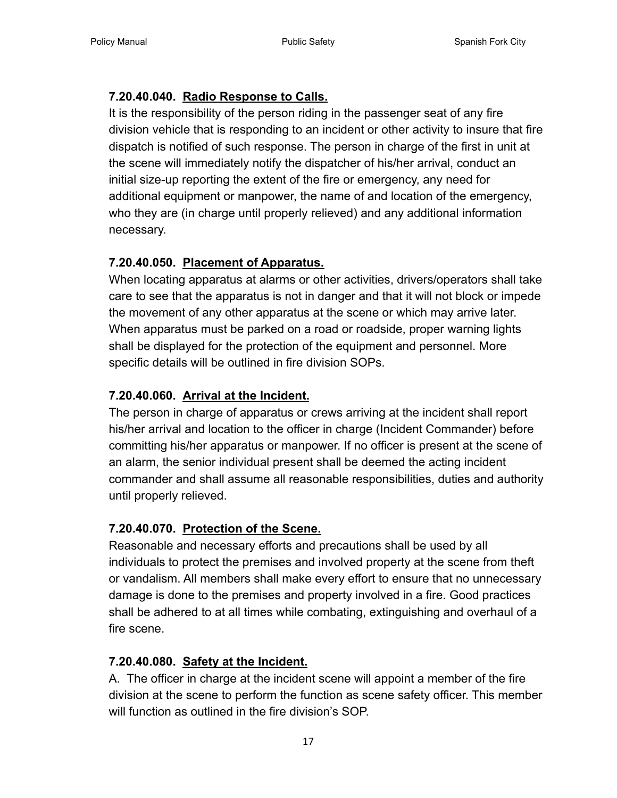# <span id="page-16-0"></span>**7.20.40.040. [Radio Response to Calls.](#page-0-22)**

It is the responsibility of the person riding in the passenger seat of any fire division vehicle that is responding to an incident or other activity to insure that fire dispatch is notified of such response. The person in charge of the first in unit at the scene will immediately notify the dispatcher of his/her arrival, conduct an initial size-up reporting the extent of the fire or emergency, any need for additional equipment or manpower, the name of and location of the emergency, who they are (in charge until properly relieved) and any additional information necessary.

# <span id="page-16-1"></span>**7.20.40.050. [Placement of Apparatus.](#page-0-23)**

When locating apparatus at alarms or other activities, drivers/operators shall take care to see that the apparatus is not in danger and that it will not block or impede the movement of any other apparatus at the scene or which may arrive later. When apparatus must be parked on a road or roadside, proper warning lights shall be displayed for the protection of the equipment and personnel. More specific details will be outlined in fire division SOPs.

# <span id="page-16-2"></span>**7.20.40.060. [Arrival at the Incident.](#page-0-24)**

The person in charge of apparatus or crews arriving at the incident shall report his/her arrival and location to the officer in charge (Incident Commander) before committing his/her apparatus or manpower. If no officer is present at the scene of an alarm, the senior individual present shall be deemed the acting incident commander and shall assume all reasonable responsibilities, duties and authority until properly relieved.

# <span id="page-16-3"></span>**7.20.40.070. [Protection of the Scene.](#page-0-25)**

Reasonable and necessary efforts and precautions shall be used by all individuals to protect the premises and involved property at the scene from theft or vandalism. All members shall make every effort to ensure that no unnecessary damage is done to the premises and property involved in a fire. Good practices shall be adhered to at all times while combating, extinguishing and overhaul of a fire scene.

# <span id="page-16-4"></span>**7.20.40.080. [Safety at the Incident.](#page-0-26)**

A. The officer in charge at the incident scene will appoint a member of the fire division at the scene to perform the function as scene safety officer. This member will function as outlined in the fire division's SOP.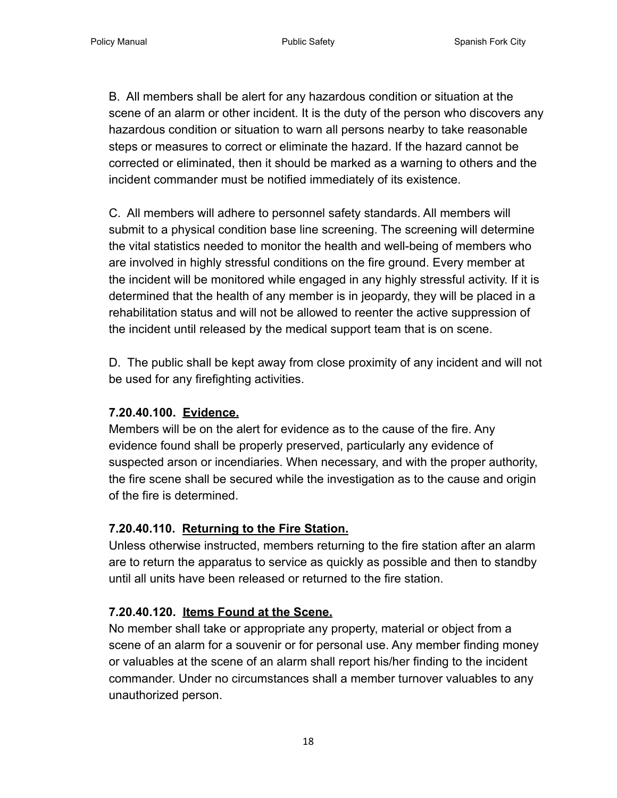B. All members shall be alert for any hazardous condition or situation at the scene of an alarm or other incident. It is the duty of the person who discovers any hazardous condition or situation to warn all persons nearby to take reasonable steps or measures to correct or eliminate the hazard. If the hazard cannot be corrected or eliminated, then it should be marked as a warning to others and the incident commander must be notified immediately of its existence.

C. All members will adhere to personnel safety standards. All members will submit to a physical condition base line screening. The screening will determine the vital statistics needed to monitor the health and well-being of members who are involved in highly stressful conditions on the fire ground. Every member at the incident will be monitored while engaged in any highly stressful activity. If it is determined that the health of any member is in jeopardy, they will be placed in a rehabilitation status and will not be allowed to reenter the active suppression of the incident until released by the medical support team that is on scene.

D. The public shall be kept away from close proximity of any incident and will not be used for any firefighting activities.

#### <span id="page-17-0"></span>**7.20.40.100. [Evidence.](#page-0-27)**

Members will be on the alert for evidence as to the cause of the fire. Any evidence found shall be properly preserved, particularly any evidence of suspected arson or incendiaries. When necessary, and with the proper authority, the fire scene shall be secured while the investigation as to the cause and origin of the fire is determined.

#### <span id="page-17-1"></span>**7.20.40.110. [Returning to the Fire Station.](#page-0-28)**

Unless otherwise instructed, members returning to the fire station after an alarm are to return the apparatus to service as quickly as possible and then to standby until all units have been released or returned to the fire station.

# <span id="page-17-2"></span>**7.20.40.120. [Items Found at the Scene.](#page-1-0)**

No member shall take or appropriate any property, material or object from a scene of an alarm for a souvenir or for personal use. Any member finding money or valuables at the scene of an alarm shall report his/her finding to the incident commander. Under no circumstances shall a member turnover valuables to any unauthorized person.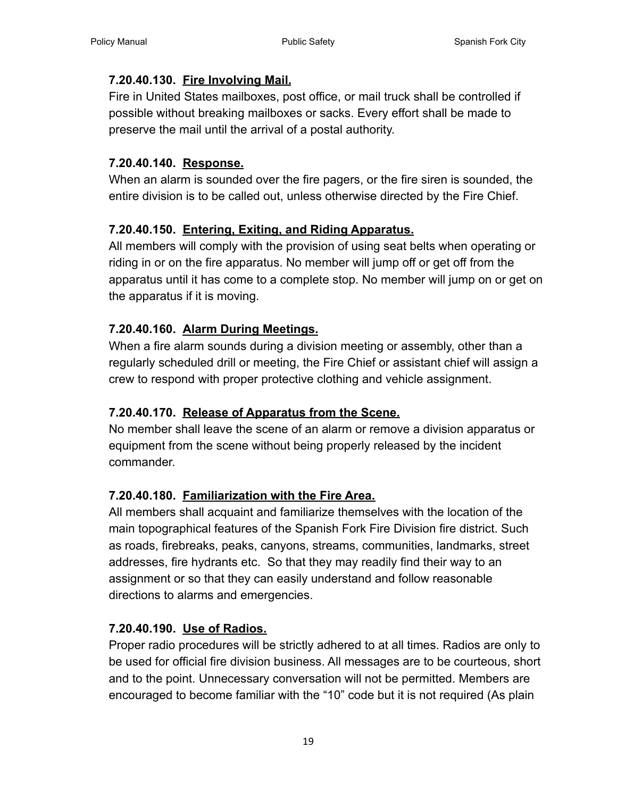#### <span id="page-18-0"></span>**7.20.40.130. [Fire Involving Mail.](#page-1-1)**

Fire in United States mailboxes, post office, or mail truck shall be controlled if possible without breaking mailboxes or sacks. Every effort shall be made to preserve the mail until the arrival of a postal authority.

#### <span id="page-18-1"></span>**7.20.40.140. [Response.](#page-1-2)**

When an alarm is sounded over the fire pagers, or the fire siren is sounded, the entire division is to be called out, unless otherwise directed by the Fire Chief.

# <span id="page-18-2"></span>**7.20.40.150. [Entering, Exiting, and Riding Apparatus.](#page-1-3)**

All members will comply with the provision of using seat belts when operating or riding in or on the fire apparatus. No member will jump off or get off from the apparatus until it has come to a complete stop. No member will jump on or get on the apparatus if it is moving.

# <span id="page-18-3"></span>**7.20.40.160. [Alarm During Meetings.](#page-1-4)**

When a fire alarm sounds during a division meeting or assembly, other than a regularly scheduled drill or meeting, the Fire Chief or assistant chief will assign a crew to respond with proper protective clothing and vehicle assignment.

# <span id="page-18-4"></span>**7.20.40.170. [Release of Apparatus from the Scene.](#page-1-5)**

No member shall leave the scene of an alarm or remove a division apparatus or equipment from the scene without being properly released by the incident commander.

# <span id="page-18-5"></span>**7.20.40.180. [Familiarization with the Fire Area.](#page-1-6)**

All members shall acquaint and familiarize themselves with the location of the main topographical features of the Spanish Fork Fire Division fire district. Such as roads, firebreaks, peaks, canyons, streams, communities, landmarks, street addresses, fire hydrants etc. So that they may readily find their way to an assignment or so that they can easily understand and follow reasonable directions to alarms and emergencies.

# <span id="page-18-6"></span>**7.20.40.190. [Use of Radios.](#page-1-7)**

Proper radio procedures will be strictly adhered to at all times. Radios are only to be used for official fire division business. All messages are to be courteous, short and to the point. Unnecessary conversation will not be permitted. Members are encouraged to become familiar with the "10" code but it is not required (As plain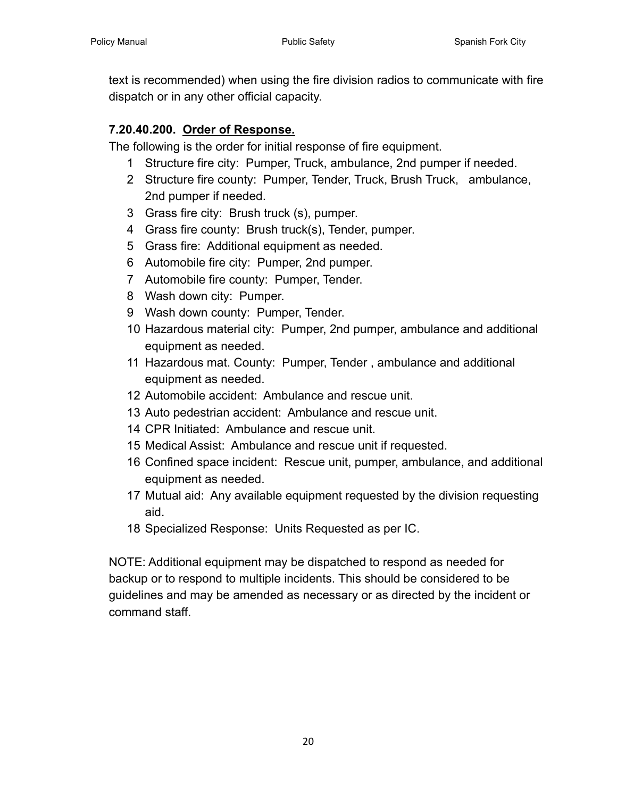text is recommended) when using the fire division radios to communicate with fire dispatch or in any other official capacity.

#### <span id="page-19-0"></span>**7.20.40.200. [Order of Response.](#page-1-8)**

The following is the order for initial response of fire equipment.

- 1 Structure fire city: Pumper, Truck, ambulance, 2nd pumper if needed.
- 2 Structure fire county: Pumper, Tender, Truck, Brush Truck, ambulance, 2nd pumper if needed.
- 3 Grass fire city: Brush truck (s), pumper.
- 4 Grass fire county: Brush truck(s), Tender, pumper.
- 5 Grass fire: Additional equipment as needed.
- 6 Automobile fire city: Pumper, 2nd pumper.
- 7 Automobile fire county: Pumper, Tender.
- 8 Wash down city: Pumper.
- 9 Wash down county: Pumper, Tender.
- 10 Hazardous material city: Pumper, 2nd pumper, ambulance and additional equipment as needed.
- 11 Hazardous mat. County: Pumper, Tender , ambulance and additional equipment as needed.
- 12 Automobile accident: Ambulance and rescue unit.
- 13 Auto pedestrian accident: Ambulance and rescue unit.
- 14 CPR Initiated: Ambulance and rescue unit.
- 15 Medical Assist: Ambulance and rescue unit if requested.
- 16 Confined space incident: Rescue unit, pumper, ambulance, and additional equipment as needed.
- 17 Mutual aid: Any available equipment requested by the division requesting aid.
- 18 Specialized Response: Units Requested as per IC.

NOTE: Additional equipment may be dispatched to respond as needed for backup or to respond to multiple incidents. This should be considered to be guidelines and may be amended as necessary or as directed by the incident or command staff.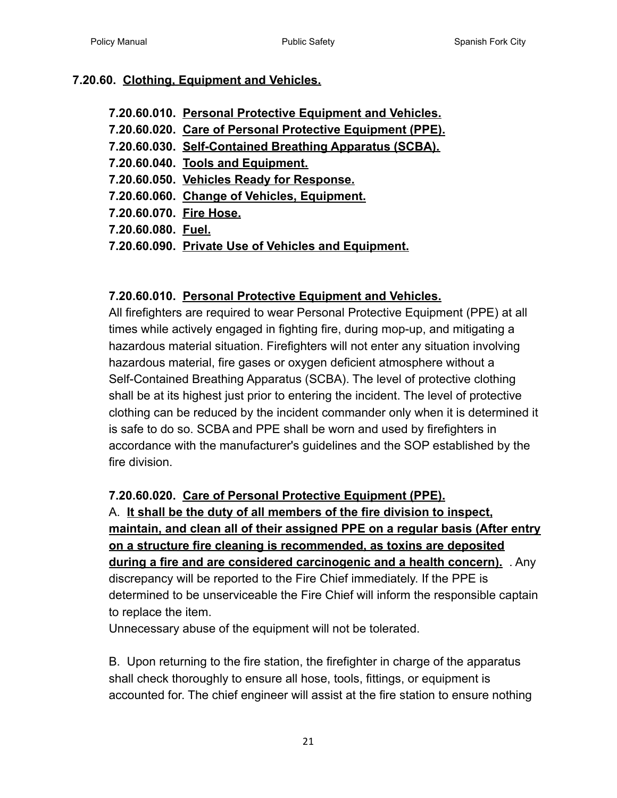#### <span id="page-20-0"></span>**7.20.60. [Clothing, Equipment and Vehicles.](#page-1-9)**

- **7.20.60.010. Personal Protective Equipment and Vehicles.**
- **7.20.60.020. Care of Personal Protective Equipment (PPE).**
- **7.20.60.030. Self-Contained Breathing Apparatus (SCBA).**
- **7.20.60.040. Tools and Equipment.**
- **7.20.60.050. Vehicles Ready for Response.**
- **7.20.60.060. Change of Vehicles, Equipment.**
- **7.20.60.070. Fire Hose.**
- **7.20.60.080. Fuel.**
- **7.20.60.090. Private Use of Vehicles and Equipment.**

# <span id="page-20-1"></span>**7.20.60.010. [Personal Protective Equipment and Vehicles.](#page-1-10)**

All firefighters are required to wear Personal Protective Equipment (PPE) at all times while actively engaged in fighting fire, during mop-up, and mitigating a hazardous material situation. Firefighters will not enter any situation involving hazardous material, fire gases or oxygen deficient atmosphere without a Self-Contained Breathing Apparatus (SCBA). The level of protective clothing shall be at its highest just prior to entering the incident. The level of protective clothing can be reduced by the incident commander only when it is determined it is safe to do so. SCBA and PPE shall be worn and used by firefighters in accordance with the manufacturer's guidelines and the SOP established by the fire division.

# <span id="page-20-2"></span>**7.20.60.020. [Care of Personal Protective Equipment](#page-1-11) (PPE).**

A. **It shall be the duty of all members of the fire division to inspect, maintain, and clean all of their assigned PPE on a regular basis (After entry on a structure fire cleaning is recommended, as toxins are deposited during a fire and are considered carcinogenic and a health concern).** . Any discrepancy will be reported to the Fire Chief immediately. If the PPE is determined to be unserviceable the Fire Chief will inform the responsible captain to replace the item.

Unnecessary abuse of the equipment will not be tolerated.

B. Upon returning to the fire station, the firefighter in charge of the apparatus shall check thoroughly to ensure all hose, tools, fittings, or equipment is accounted for. The chief engineer will assist at the fire station to ensure nothing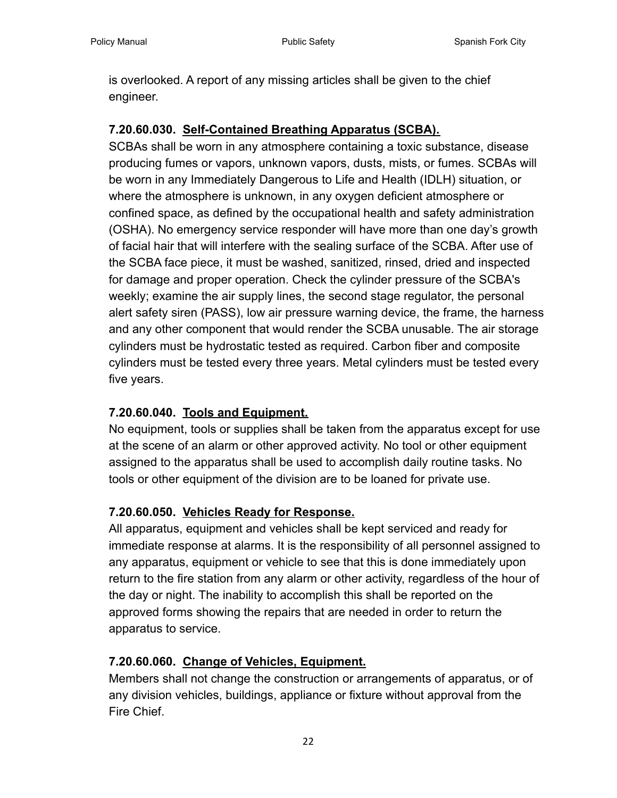is overlooked. A report of any missing articles shall be given to the chief engineer.

# <span id="page-21-0"></span>**7.20.60.030. [Self-Contained Breathing Apparatus \(SCBA\).](#page-1-12)**

SCBAs shall be worn in any atmosphere containing a toxic substance, disease producing fumes or vapors, unknown vapors, dusts, mists, or fumes. SCBAs will be worn in any Immediately Dangerous to Life and Health (IDLH) situation, or where the atmosphere is unknown, in any oxygen deficient atmosphere or confined space, as defined by the occupational health and safety administration (OSHA). No emergency service responder will have more than one day's growth of facial hair that will interfere with the sealing surface of the SCBA. After use of the SCBA face piece, it must be washed, sanitized, rinsed, dried and inspected for damage and proper operation. Check the cylinder pressure of the SCBA's weekly; examine the air supply lines, the second stage regulator, the personal alert safety siren (PASS), low air pressure warning device, the frame, the harness and any other component that would render the SCBA unusable. The air storage cylinders must be hydrostatic tested as required. Carbon fiber and composite cylinders must be tested every three years. Metal cylinders must be tested every five years.

# <span id="page-21-1"></span>**7.20.60.040. [Tools and Equipment.](#page-1-13)**

No equipment, tools or supplies shall be taken from the apparatus except for use at the scene of an alarm or other approved activity. No tool or other equipment assigned to the apparatus shall be used to accomplish daily routine tasks. No tools or other equipment of the division are to be loaned for private use.

# <span id="page-21-2"></span>**7.20.60.050. [Vehicles Ready for Response.](#page-1-14)**

All apparatus, equipment and vehicles shall be kept serviced and ready for immediate response at alarms. It is the responsibility of all personnel assigned to any apparatus, equipment or vehicle to see that this is done immediately upon return to the fire station from any alarm or other activity, regardless of the hour of the day or night. The inability to accomplish this shall be reported on the approved forms showing the repairs that are needed in order to return the apparatus to service.

# <span id="page-21-3"></span>**7.20.60.060. [Change of Vehicles, Equipment.](#page-1-15)**

Members shall not change the construction or arrangements of apparatus, or of any division vehicles, buildings, appliance or fixture without approval from the Fire Chief.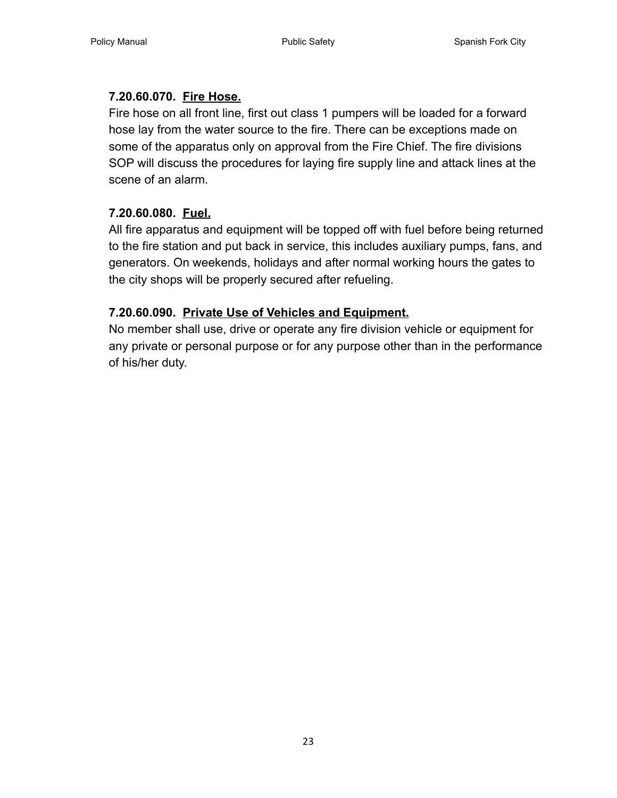# <span id="page-22-0"></span>**7.20.60.070. [Fire Hose.](#page-1-16)**

Fire hose on all front line, first out class 1 pumpers will be loaded for a forward hose lay from the water source to the fire. There can be exceptions made on some of the apparatus only on approval from the Fire Chief. The fire divisions SOP will discuss the procedures for laying fire supply line and attack lines at the scene of an alarm.

# <span id="page-22-1"></span>**7.20.60.080. [Fuel.](#page-1-17)**

All fire apparatus and equipment will be topped off with fuel before being returned to the fire station and put back in service, this includes auxiliary pumps, fans, and generators. On weekends, holidays and after normal working hours the gates to the city shops will be properly secured after refueling.

# <span id="page-22-2"></span>**7.20.60.090. [Private Use of Vehicles and Equipment.](#page-1-18)**

No member shall use, drive or operate any fire division vehicle or equipment for any private or personal purpose or for any purpose other than in the performance of his/her duty.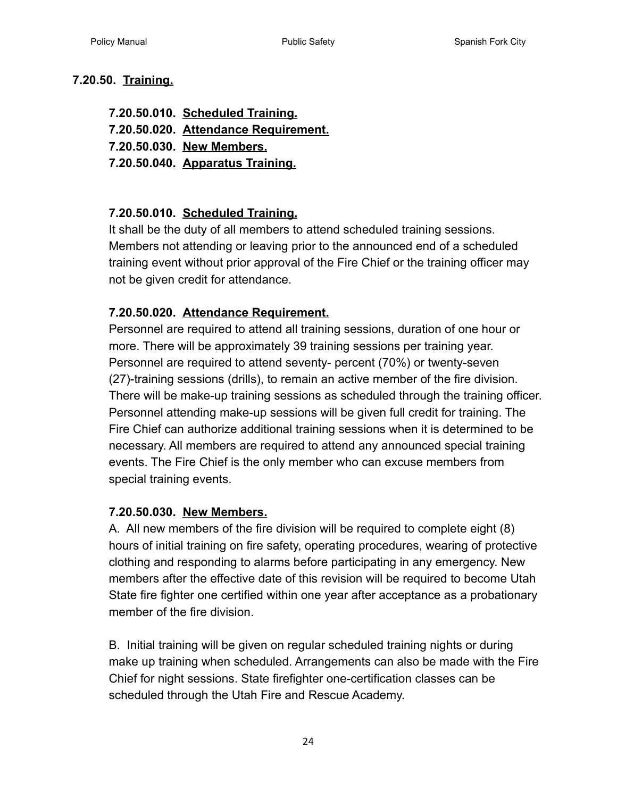#### <span id="page-23-0"></span>**7.20.50. [Training.](#page-1-19)**

**7.20.50.010. [Scheduled Training.](#page-23-1) 7.20.50.020. Attendance Requirement. 7.20.50.030. [New Members.](#page-23-2) 7.20.50.040. [Apparatus Training.](#page-24-0)**

#### <span id="page-23-1"></span>**7.20.50.010. [Scheduled Training.](#page-1-20)**

It shall be the duty of all members to attend scheduled training sessions. Members not attending or leaving prior to the announced end of a scheduled training event without prior approval of the Fire Chief or the training officer may not be given credit for attendance.

#### **7.20.50.020. Attendance Requirement.**

Personnel are required to attend all training sessions, duration of one hour or more. There will be approximately 39 training sessions per training year. Personnel are required to attend seventy- percent (70%) or twenty-seven (27)-training sessions (drills), to remain an active member of the fire division. There will be make-up training sessions as scheduled through the training officer. Personnel attending make-up sessions will be given full credit for training. The Fire Chief can authorize additional training sessions when it is determined to be necessary. All members are required to attend any announced special training events. The Fire Chief is the only member who can excuse members from special training events.

#### <span id="page-23-2"></span>**7.20.50.030. [New Members.](#page-1-21)**

A. All new members of the fire division will be required to complete eight (8) hours of initial training on fire safety, operating procedures, wearing of protective clothing and responding to alarms before participating in any emergency. New members after the effective date of this revision will be required to become Utah State fire fighter one certified within one year after acceptance as a probationary member of the fire division.

B. Initial training will be given on regular scheduled training nights or during make up training when scheduled. Arrangements can also be made with the Fire Chief for night sessions. State firefighter one-certification classes can be scheduled through the Utah Fire and Rescue Academy.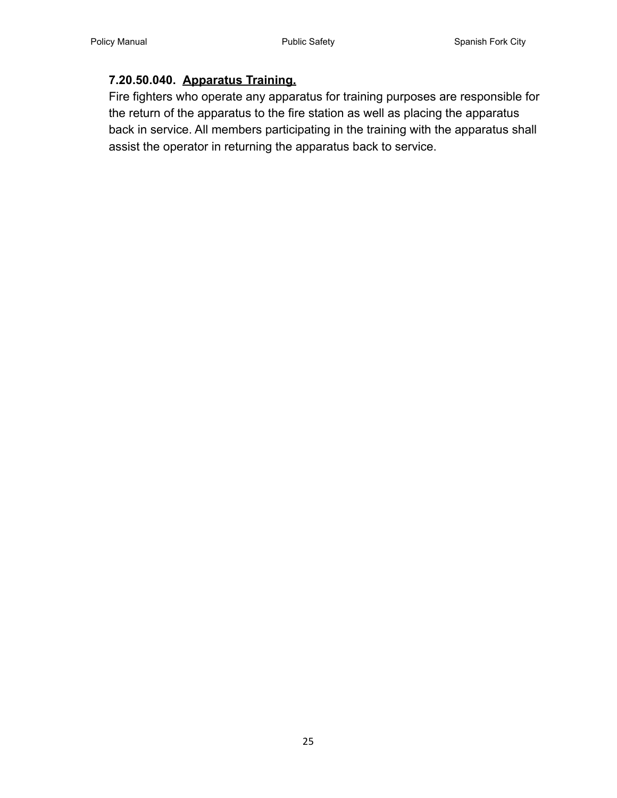#### <span id="page-24-0"></span>**7.20.50.040. [Apparatus Training.](#page-1-22)**

Fire fighters who operate any apparatus for training purposes are responsible for the return of the apparatus to the fire station as well as placing the apparatus back in service. All members participating in the training with the apparatus shall assist the operator in returning the apparatus back to service.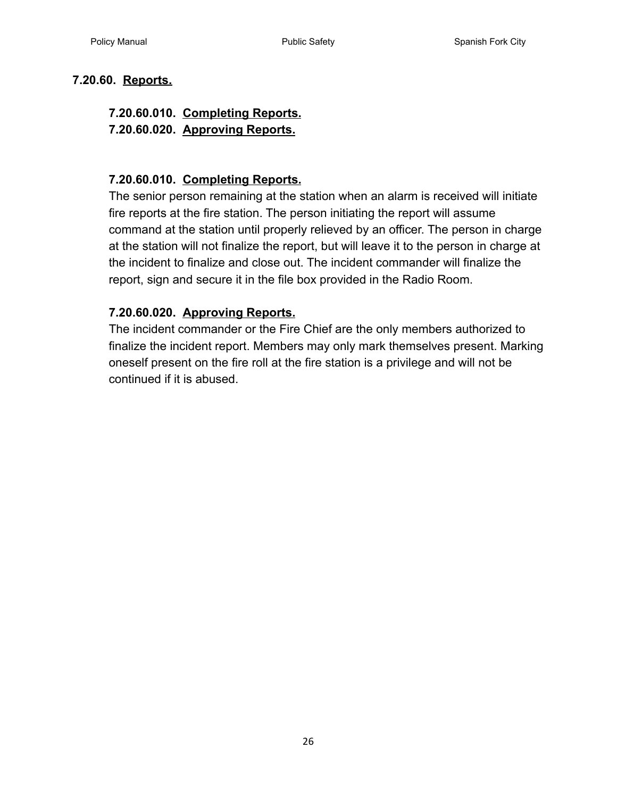#### <span id="page-25-0"></span>**7.20.60. [Reports.](#page-1-23)**

# **7.20.60.010. [Completing Reports.](#page-25-1)**

**7.20.60.020. Approving Reports.**

#### <span id="page-25-1"></span>**7.20.60.010. [Completing Reports.](#page-1-24)**

The senior person remaining at the station when an alarm is received will initiate fire reports at the fire station. The person initiating the report will assume command at the station until properly relieved by an officer. The person in charge at the station will not finalize the report, but will leave it to the person in charge at the incident to finalize and close out. The incident commander will finalize the report, sign and secure it in the file box provided in the Radio Room.

#### **7.20.60.020. Approving Reports.**

The incident commander or the Fire Chief are the only members authorized to finalize the incident report. Members may only mark themselves present. Marking oneself present on the fire roll at the fire station is a privilege and will not be continued if it is abused.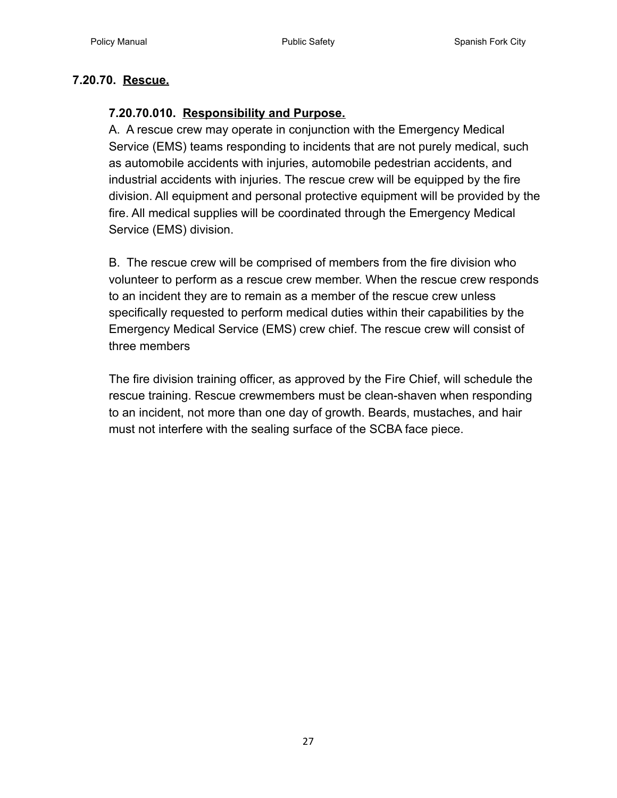#### <span id="page-26-1"></span><span id="page-26-0"></span>**7.20.70. [Rescue.](#page-1-25)**

#### **7.20.70.010. [Responsibility and Purpose.](#page-1-26)**

A. A rescue crew may operate in conjunction with the Emergency Medical Service (EMS) teams responding to incidents that are not purely medical, such as automobile accidents with injuries, automobile pedestrian accidents, and industrial accidents with injuries. The rescue crew will be equipped by the fire division. All equipment and personal protective equipment will be provided by the fire. All medical supplies will be coordinated through the Emergency Medical Service (EMS) division.

B. The rescue crew will be comprised of members from the fire division who volunteer to perform as a rescue crew member. When the rescue crew responds to an incident they are to remain as a member of the rescue crew unless specifically requested to perform medical duties within their capabilities by the Emergency Medical Service (EMS) crew chief. The rescue crew will consist of three members

The fire division training officer, as approved by the Fire Chief, will schedule the rescue training. Rescue crewmembers must be clean-shaven when responding to an incident, not more than one day of growth. Beards, mustaches, and hair must not interfere with the sealing surface of the SCBA face piece.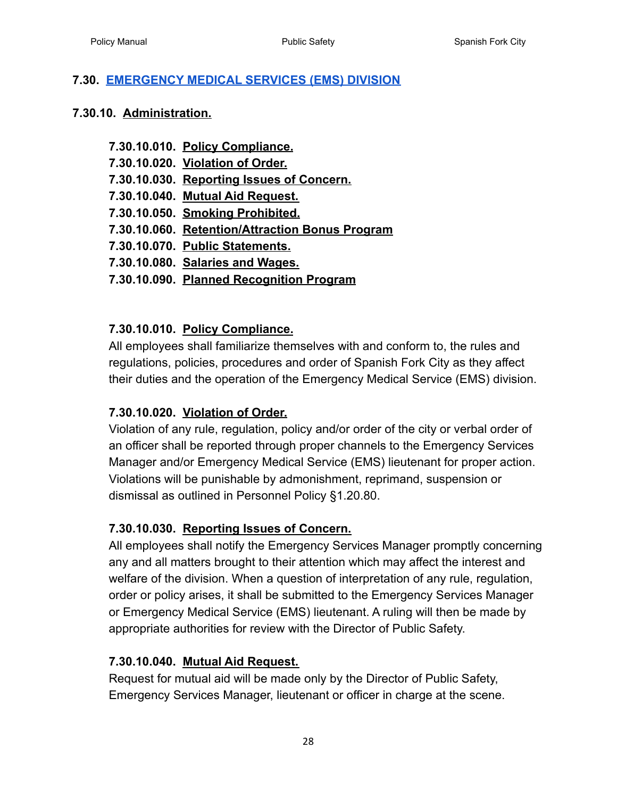#### <span id="page-27-0"></span>**7.30. [EMERGENCY MEDICAL SERVICES \(EMS\) DIVISION](#page-1-27)**

#### <span id="page-27-1"></span>**7.30.10. [Administration.](#page-1-28)**

- **7.30.10.010. [Policy Compliance.](#page-27-2)**
- **7.30.10.020. [Violation of Order.](#page-27-3)**
- **7.30.10.030. [Reporting Issues of Concern.](#page-27-4)**
- **7.30.10.040. [Mutual Aid Request.](#page-27-5)**
- **7.30.10.050. [Smoking Prohibited.](#page-28-0)**
- **7.30.10.060. [Retention/Attraction Bonus Program](#page-2-0)**
- **7.30.10.070. [Public Statements.](#page-29-0)**
- **7.30.10.080. [Salaries and Wages.](#page-29-1)**

#### **7.30.10.090. Planned Recognition Program**

#### <span id="page-27-2"></span>**7.30.10.010. [Policy Compliance.](#page-1-29)**

All employees shall familiarize themselves with and conform to, the rules and regulations, policies, procedures and order of Spanish Fork City as they affect their duties and the operation of the Emergency Medical Service (EMS) division.

# <span id="page-27-3"></span>**7.30.10.020. [Violation of Order.](#page-1-30)**

Violation of any rule, regulation, policy and/or order of the city or verbal order of an officer shall be reported through proper channels to the Emergency Services Manager and/or Emergency Medical Service (EMS) lieutenant for proper action. Violations will be punishable by admonishment, reprimand, suspension or dismissal as outlined in Personnel Policy §1.20.80.

# <span id="page-27-4"></span>**7.30.10.030. [Reporting Issues of Concern.](#page-1-31)**

All employees shall notify the Emergency Services Manager promptly concerning any and all matters brought to their attention which may affect the interest and welfare of the division. When a question of interpretation of any rule, regulation, order or policy arises, it shall be submitted to the Emergency Services Manager or Emergency Medical Service (EMS) lieutenant. A ruling will then be made by appropriate authorities for review with the Director of Public Safety.

#### <span id="page-27-5"></span>**7.30.10.040. [Mutual Aid Request.](#page-2-1)**

Request for mutual aid will be made only by the Director of Public Safety, Emergency Services Manager, lieutenant or officer in charge at the scene.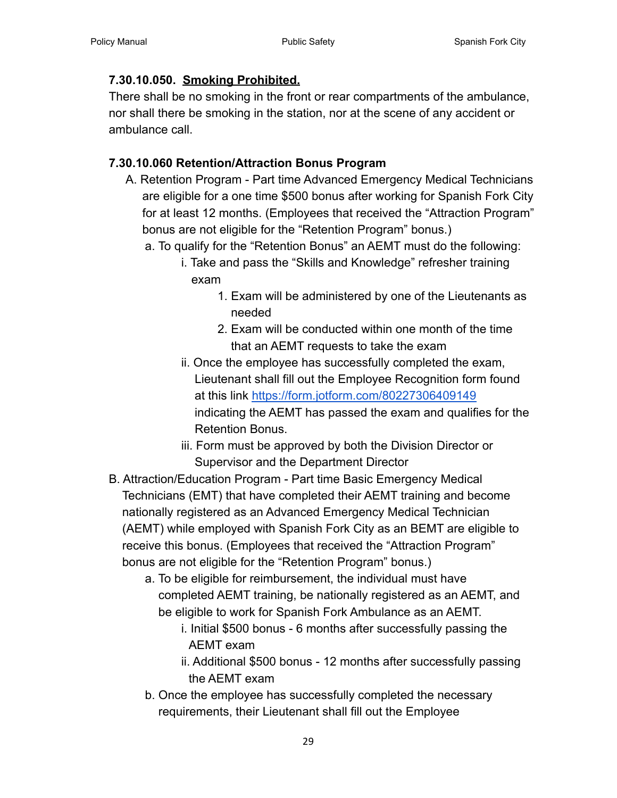# <span id="page-28-0"></span>**7.30.10.050. [Smoking Prohibited.](#page-2-2)**

There shall be no smoking in the front or rear compartments of the ambulance, nor shall there be smoking in the station, nor at the scene of any accident or ambulance call.

# <span id="page-28-1"></span>**7.30.10.060 Retention/Attraction Bonus Program**

- A. Retention Program Part time Advanced Emergency Medical Technicians are eligible for a one time \$500 bonus after working for Spanish Fork City for at least 12 months. (Employees that received the "Attraction Program" bonus are not eligible for the "Retention Program" bonus.)
	- a. To qualify for the "Retention Bonus" an AEMT must do the following:
		- i. Take and pass the "Skills and Knowledge" refresher training exam
			- 1. Exam will be administered by one of the Lieutenants as needed
			- 2. Exam will be conducted within one month of the time that an AEMT requests to take the exam
		- ii. Once the employee has successfully completed the exam, Lieutenant shall fill out the Employee Recognition form found at this link <https://form.jotform.com/80227306409149> indicating the AEMT has passed the exam and qualifies for the Retention Bonus.
		- iii. Form must be approved by both the Division Director or Supervisor and the Department Director
- B. Attraction/Education Program Part time Basic Emergency Medical Technicians (EMT) that have completed their AEMT training and become nationally registered as an Advanced Emergency Medical Technician (AEMT) while employed with Spanish Fork City as an BEMT are eligible to receive this bonus. (Employees that received the "Attraction Program" bonus are not eligible for the "Retention Program" bonus.)
	- a. To be eligible for reimbursement, the individual must have completed AEMT training, be nationally registered as an AEMT, and be eligible to work for Spanish Fork Ambulance as an AEMT.
		- i. Initial \$500 bonus 6 months after successfully passing the AEMT exam
		- ii. Additional \$500 bonus 12 months after successfully passing the AEMT exam
	- b. Once the employee has successfully completed the necessary requirements, their Lieutenant shall fill out the Employee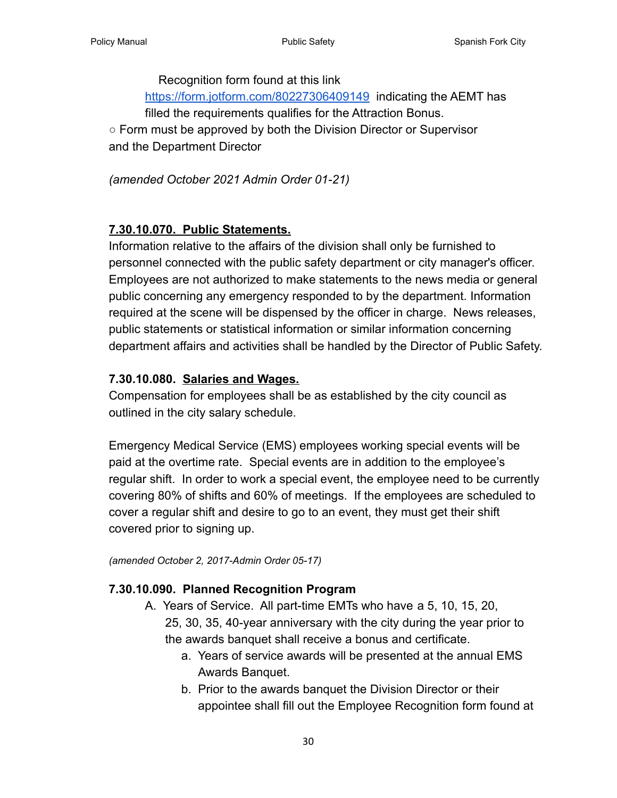Recognition form found at this link

<https://form.jotform.com/80227306409149> indicating the AEMT has filled the requirements qualifies for the Attraction Bonus.

○ Form must be approved by both the Division Director or Supervisor and the Department Director

*(amended October 2021 Admin Order 01-21)*

# <span id="page-29-0"></span>**[7.30.10.070. Public Statements.](#page-2-0)**

Information relative to the affairs of the division shall only be furnished to personnel connected with the public safety department or city manager's officer. Employees are not authorized to make statements to the news media or general public concerning any emergency responded to by the department. Information required at the scene will be dispensed by the officer in charge. News releases, public statements or statistical information or similar information concerning department affairs and activities shall be handled by the Director of Public Safety.

# <span id="page-29-1"></span>**7.30.10.080. [Salaries and Wages.](#page-2-3)**

Compensation for employees shall be as established by the city council as outlined in the city salary schedule.

Emergency Medical Service (EMS) employees working special events will be paid at the overtime rate. Special events are in addition to the employee's regular shift. In order to work a special event, the employee need to be currently covering 80% of shifts and 60% of meetings. If the employees are scheduled to cover a regular shift and desire to go to an event, they must get their shift covered prior to signing up.

*(amended October 2, 2017-Admin Order 05-17)*

# <span id="page-29-2"></span>**7.30.10.090. Planned Recognition Program**

- A. Years of Service. All part-time EMTs who have a 5, 10, 15, 20, 25, 30, 35, 40-year anniversary with the city during the year prior to the awards banquet shall receive a bonus and certificate.
	- a. Years of service awards will be presented at the annual EMS Awards Banquet.
	- b. Prior to the awards banquet the Division Director or their appointee shall fill out the Employee Recognition form found at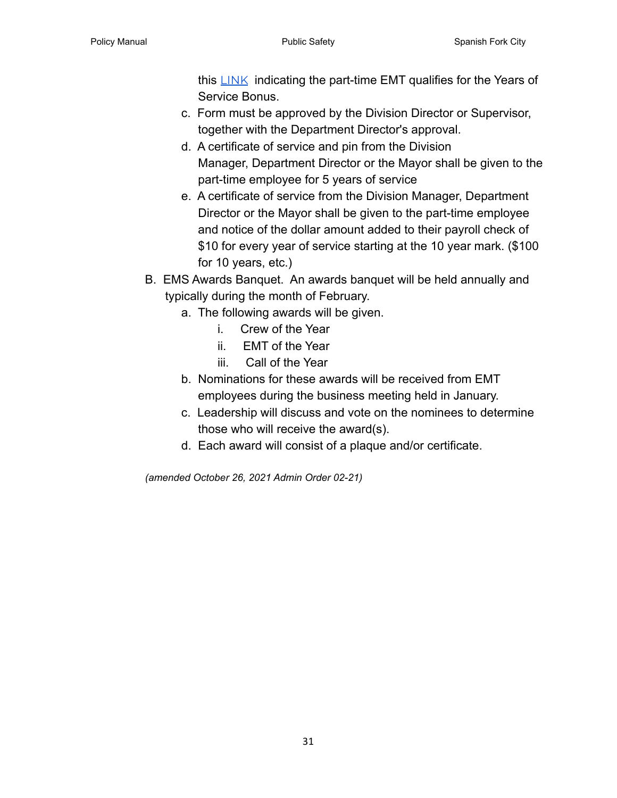this  $LINK$  indicating the part-time EMT qualifies for the Years of Service Bonus.

- c. Form must be approved by the Division Director or Supervisor, together with the Department Director's approval.
- d. A certificate of service and pin from the Division Manager, Department Director or the Mayor shall be given to the part-time employee for 5 years of service
- e. A certificate of service from the Division Manager, Department Director or the Mayor shall be given to the part-time employee and notice of the dollar amount added to their payroll check of \$10 for every year of service starting at the 10 year mark. (\$100 for 10 years, etc.)
- B. EMS Awards Banquet. An awards banquet will be held annually and typically during the month of February.
	- a. The following awards will be given.
		- i. Crew of the Year
		- ii. EMT of the Year
		- iii. Call of the Year
	- b. Nominations for these awards will be received from EMT employees during the business meeting held in January.
	- c. Leadership will discuss and vote on the nominees to determine those who will receive the award(s).
	- d. Each award will consist of a plaque and/or certificate.

*(amended October 26, 2021 Admin Order 02-21)*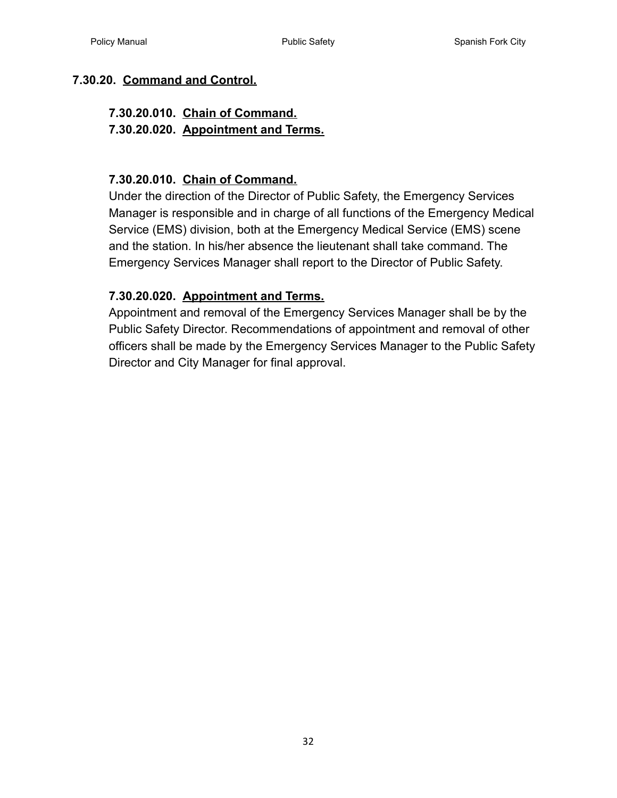#### <span id="page-31-0"></span>**7.30.20. [Command and Control.](#page-2-4)**

# **7.30.20.010. [Chain of Command.](#page-31-1)**

**7.30.20.020. [Appointment and Terms.](#page-31-2)**

#### <span id="page-31-1"></span>**7.30.20.010. [Chain of Command.](#page-2-5)**

Under the direction of the Director of Public Safety, the Emergency Services Manager is responsible and in charge of all functions of the Emergency Medical Service (EMS) division, both at the Emergency Medical Service (EMS) scene and the station. In his/her absence the lieutenant shall take command. The Emergency Services Manager shall report to the Director of Public Safety.

#### <span id="page-31-2"></span>**7.30.20.020. [Appointment and Terms.](#page-2-6)**

Appointment and removal of the Emergency Services Manager shall be by the Public Safety Director. Recommendations of appointment and removal of other officers shall be made by the Emergency Services Manager to the Public Safety Director and City Manager for final approval.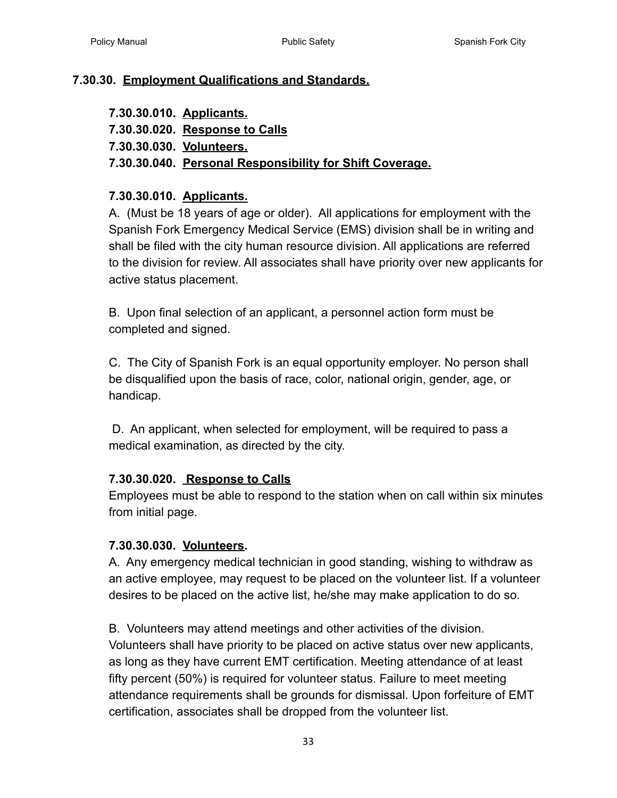#### <span id="page-32-0"></span>**7.30.30. [Employment Qualifications and Standards.](#page-2-7)**

**7.30.30.010. [Applicants.](#page-32-2) 7.30.30.020. Response to Calls 7.30.30.030. [Volunteers.](#page-32-3) 7.30.30.040. [Personal Responsibility for Shift Coverage.](#page-33-0)**

#### <span id="page-32-2"></span><span id="page-32-1"></span>**7.30.30.010. [Applicants.](#page-2-8)**

A. (Must be 18 years of age or older). All applications for employment with the Spanish Fork Emergency Medical Service (EMS) division shall be in writing and shall be filed with the city human resource division. All applications are referred to the division for review. All associates shall have priority over new applicants for active status placement.

B. Upon final selection of an applicant, a personnel action form must be completed and signed.

C. The City of Spanish Fork is an equal opportunity employer. No person shall be disqualified upon the basis of race, color, national origin, gender, age, or handicap.

D. An applicant, when selected for employment, will be required to pass a medical examination, as directed by the city.

#### **7.30.30.020. Response to Calls**

Employees must be able to respond to the station when on call within six minutes from initial page.

#### <span id="page-32-3"></span>**7.30.30.030. Volunteers.**

A. Any emergency medical technician in good standing, wishing to withdraw as an active employee, may request to be placed on the volunteer list. If a volunteer desires to be placed on the active list, he/she may make application to do so.

B. Volunteers may attend meetings and other activities of the division. Volunteers shall have priority to be placed on active status over new applicants, as long as they have current EMT certification. Meeting attendance of at least fifty percent (50%) is required for volunteer status. Failure to meet meeting attendance requirements shall be grounds for dismissal. Upon forfeiture of EMT certification, associates shall be dropped from the volunteer list.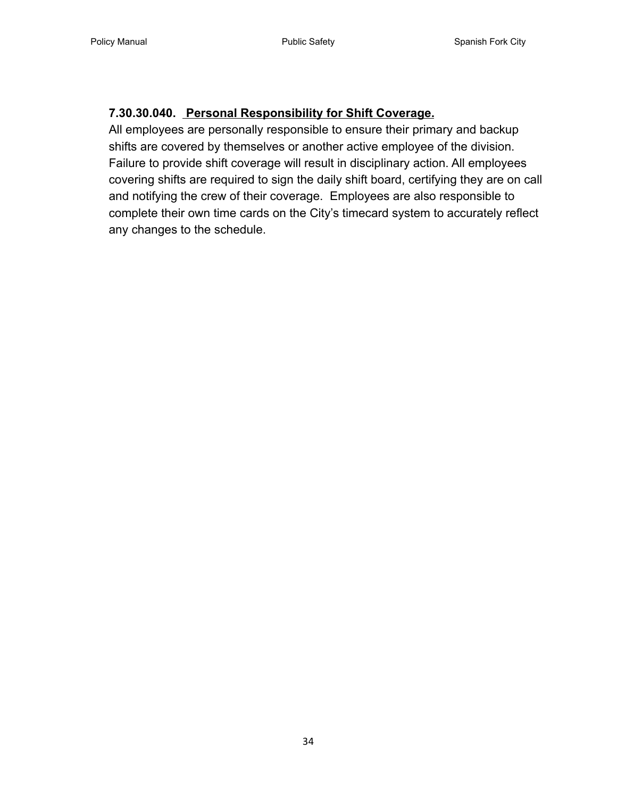# <span id="page-33-0"></span>**7.30.30.040. Personal Responsibility for Shift Coverage.**

All employees are personally responsible to ensure their primary and backup shifts are covered by themselves or another active employee of the division. Failure to provide shift coverage will result in disciplinary action. All employees covering shifts are required to sign the daily shift board, certifying they are on call and notifying the crew of their coverage. Employees are also responsible to complete their own time cards on the City's timecard system to accurately reflect any changes to the schedule.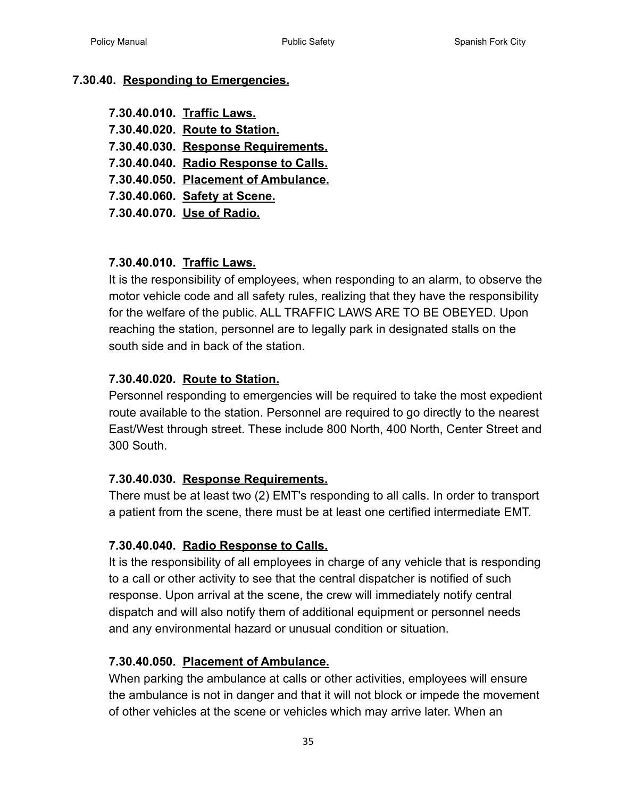#### <span id="page-34-0"></span>**7.30.40. Responding to Emergencies.**

**7.30.40.010. [Traffic Laws.](#page-34-1) 7.30.40.020. [Route to Station.](#page-34-2) 7.30.40.030. Response Requirements. 7.30.40.040. [Radio Response to Calls.](#page-34-3) 7.30.40.050. [Placement of Ambulance.](#page-34-4) 7.30.40.060. [Safety at Scene.](#page-35-0) 7.30.40.070. [Use of Radio.](#page-35-1)**

#### <span id="page-34-1"></span>**7.30.40.010. [Traffic Laws.](#page-2-9)**

It is the responsibility of employees, when responding to an alarm, to observe the motor vehicle code and all safety rules, realizing that they have the responsibility for the welfare of the public. ALL TRAFFIC LAWS ARE TO BE OBEYED. Upon reaching the station, personnel are to legally park in designated stalls on the south side and in back of the station.

#### <span id="page-34-2"></span>**7.30.40.020. [Route to Station.](#page-2-10)**

Personnel responding to emergencies will be required to take the most expedient route available to the station. Personnel are required to go directly to the nearest East/West through street. These include 800 North, 400 North, Center Street and 300 South.

#### **7.30.40.030. [Response Requirements.](#page-2-11)**

There must be at least two (2) EMT's responding to all calls. In order to transport a patient from the scene, there must be at least one certified intermediate EMT.

#### <span id="page-34-3"></span>**7.30.40.040. [Radio Response to Calls.](#page-2-12)**

It is the responsibility of all employees in charge of any vehicle that is responding to a call or other activity to see that the central dispatcher is notified of such response. Upon arrival at the scene, the crew will immediately notify central dispatch and will also notify them of additional equipment or personnel needs and any environmental hazard or unusual condition or situation.

# <span id="page-34-4"></span>**7.30.40.050. [Placement of Ambulance.](#page-2-13)**

When parking the ambulance at calls or other activities, employees will ensure the ambulance is not in danger and that it will not block or impede the movement of other vehicles at the scene or vehicles which may arrive later. When an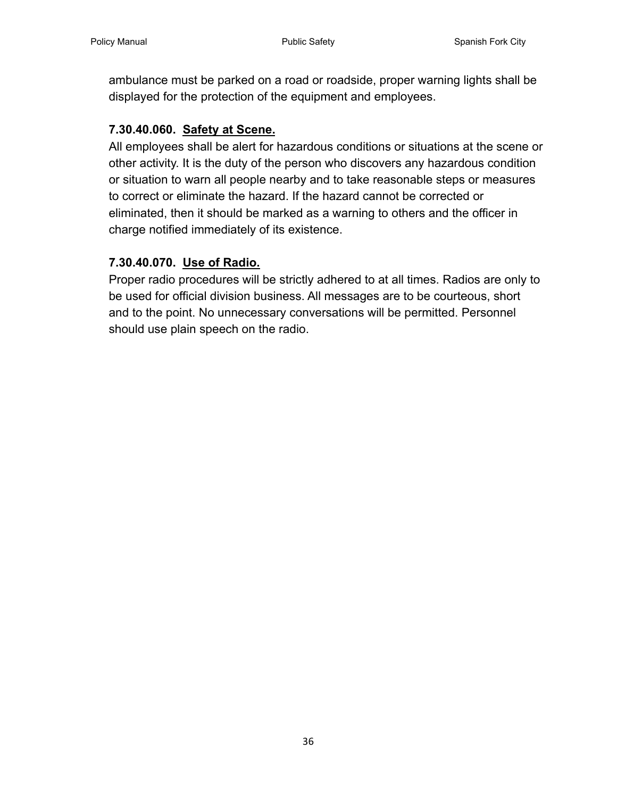ambulance must be parked on a road or roadside, proper warning lights shall be displayed for the protection of the equipment and employees.

#### <span id="page-35-0"></span>**7.30.40.060. [Safety at Scene.](#page-2-14)**

All employees shall be alert for hazardous conditions or situations at the scene or other activity. It is the duty of the person who discovers any hazardous condition or situation to warn all people nearby and to take reasonable steps or measures to correct or eliminate the hazard. If the hazard cannot be corrected or eliminated, then it should be marked as a warning to others and the officer in charge notified immediately of its existence.

#### <span id="page-35-1"></span>**7.30.40.070. [Use of Radio.](#page-2-15)**

Proper radio procedures will be strictly adhered to at all times. Radios are only to be used for official division business. All messages are to be courteous, short and to the point. No unnecessary conversations will be permitted. Personnel should use plain speech on the radio.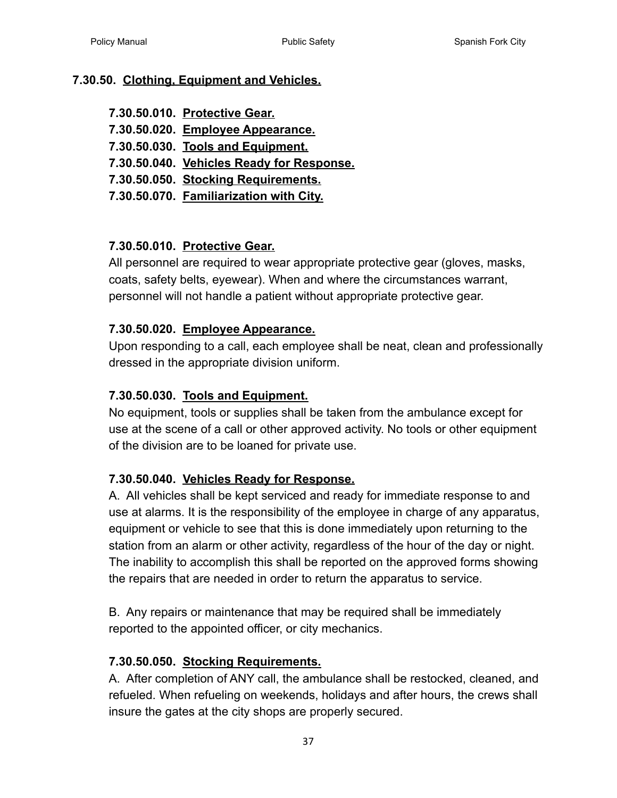#### <span id="page-36-0"></span>**7.30.50. [Clothing, Equipment and Vehicles.](#page-2-16)**

- **7.30.50.010. [Protective Gear.](#page-36-1)**
- **7.30.50.020. [Employee Appearance.](#page-36-2)**
- **7.30.50.030. [Tools and Equipment.](#page-36-3)**
- **7.30.50.040. [Vehicles Ready for Response.](#page-36-4)**
- **7.30.50.050. [Stocking Requirements.](#page-36-5)**
- **7.30.50.070. [Familiarization with City.](#page-37-0)**

# <span id="page-36-1"></span>**7.30.50.010. [Protective Gear.](#page-2-17)**

All personnel are required to wear appropriate protective gear (gloves, masks, coats, safety belts, eyewear). When and where the circumstances warrant, personnel will not handle a patient without appropriate protective gear.

#### <span id="page-36-2"></span>**7.30.50.020. [Employee Appearance.](#page-2-18)**

Upon responding to a call, each employee shall be neat, clean and professionally dressed in the appropriate division uniform.

#### <span id="page-36-3"></span>**7.30.50.030. [Tools and Equipment.](#page-2-19)**

No equipment, tools or supplies shall be taken from the ambulance except for use at the scene of a call or other approved activity. No tools or other equipment of the division are to be loaned for private use.

#### <span id="page-36-4"></span>**7.30.50.040. [Vehicles Ready for Response.](#page-2-20)**

A. All vehicles shall be kept serviced and ready for immediate response to and use at alarms. It is the responsibility of the employee in charge of any apparatus, equipment or vehicle to see that this is done immediately upon returning to the station from an alarm or other activity, regardless of the hour of the day or night. The inability to accomplish this shall be reported on the approved forms showing the repairs that are needed in order to return the apparatus to service.

B. Any repairs or maintenance that may be required shall be immediately reported to the appointed officer, or city mechanics.

#### <span id="page-36-5"></span>**7.30.50.050. [Stocking Requirements.](#page-2-21)**

A. After completion of ANY call, the ambulance shall be restocked, cleaned, and refueled. When refueling on weekends, holidays and after hours, the crews shall insure the gates at the city shops are properly secured.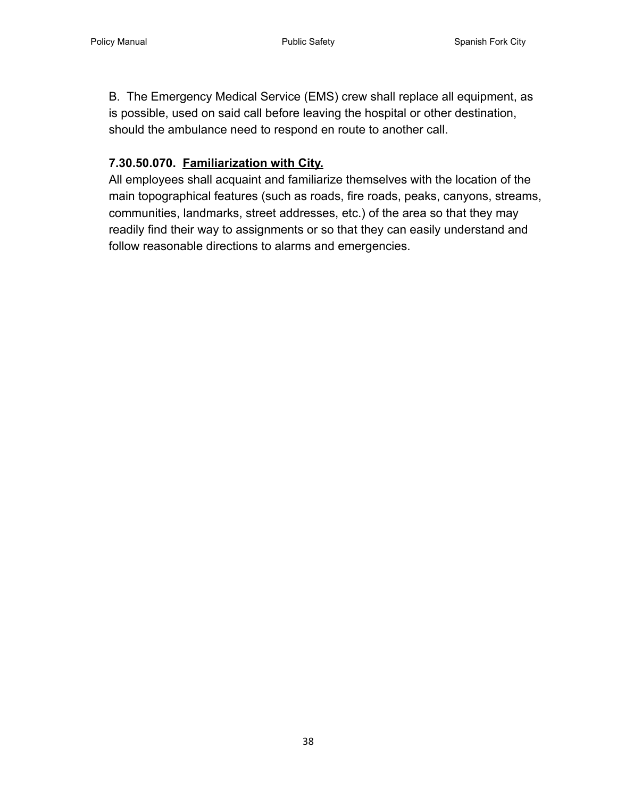B. The Emergency Medical Service (EMS) crew shall replace all equipment, as is possible, used on said call before leaving the hospital or other destination, should the ambulance need to respond en route to another call.

# <span id="page-37-0"></span>**7.30.50.070. [Familiarization with City.](#page-2-22)**

All employees shall acquaint and familiarize themselves with the location of the main topographical features (such as roads, fire roads, peaks, canyons, streams, communities, landmarks, street addresses, etc.) of the area so that they may readily find their way to assignments or so that they can easily understand and follow reasonable directions to alarms and emergencies.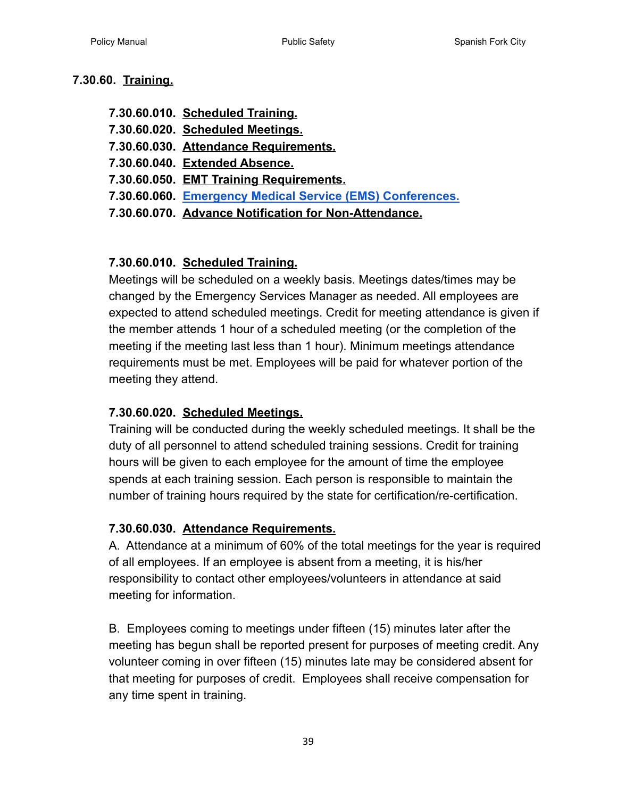#### <span id="page-38-0"></span>**7.30.60. [Training.](#page-2-23)**

- **7.30.60.010. [Scheduled Training.](#page-38-1)**
- **7.30.60.020. [Scheduled Meetings.](#page-38-2)**
- **7.30.60.030. [Attendance Requirements.](#page-38-3)**
- **7.30.60.040. [Extended Absence.](#page-39-0)**
- **7.30.60.050. [EMT Training Requirements.](#page-39-1)**
- **7.30.60.060. [Emergency Medical Service \(EMS\) Conferences.](#page-39-2)**
- **7.30.60.070. Advance Notification for Non-Attendance.**

# <span id="page-38-1"></span>**7.30.60.010. [Scheduled Training.](#page-2-24)**

Meetings will be scheduled on a weekly basis. Meetings dates/times may be changed by the Emergency Services Manager as needed. All employees are expected to attend scheduled meetings. Credit for meeting attendance is given if the member attends 1 hour of a scheduled meeting (or the completion of the meeting if the meeting last less than 1 hour). Minimum meetings attendance requirements must be met. Employees will be paid for whatever portion of the meeting they attend.

# <span id="page-38-2"></span>**7.30.60.020. [Scheduled Meetings.](#page-2-25)**

Training will be conducted during the weekly scheduled meetings. It shall be the duty of all personnel to attend scheduled training sessions. Credit for training hours will be given to each employee for the amount of time the employee spends at each training session. Each person is responsible to maintain the number of training hours required by the state for certification/re-certification.

#### <span id="page-38-3"></span>**7.30.60.030. [Attendance Requirements.](#page-2-26)**

A. Attendance at a minimum of 60% of the total meetings for the year is required of all employees. If an employee is absent from a meeting, it is his/her responsibility to contact other employees/volunteers in attendance at said meeting for information.

B. Employees coming to meetings under fifteen (15) minutes later after the meeting has begun shall be reported present for purposes of meeting credit. Any volunteer coming in over fifteen (15) minutes late may be considered absent for that meeting for purposes of credit. Employees shall receive compensation for any time spent in training.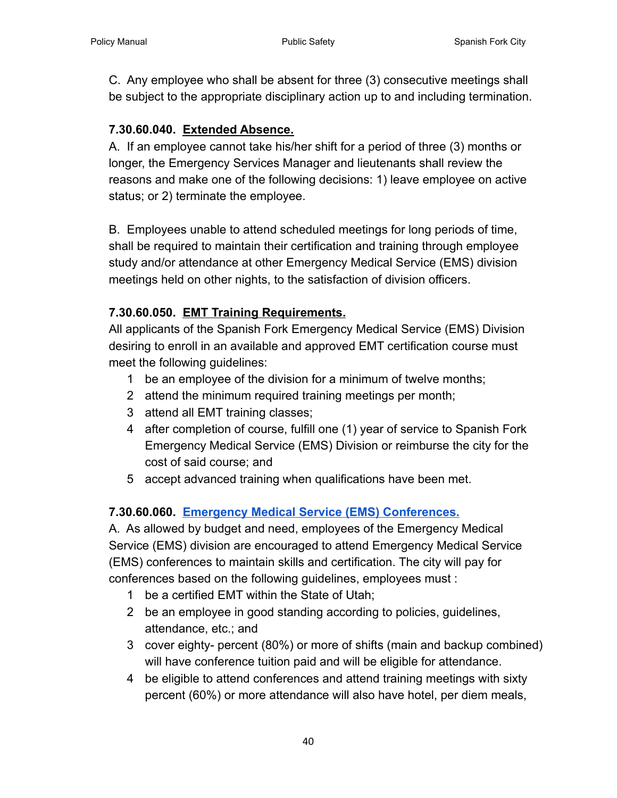C. Any employee who shall be absent for three (3) consecutive meetings shall be subject to the appropriate disciplinary action up to and including termination.

#### <span id="page-39-0"></span>**7.30.60.040. [Extended Absence.](#page-3-0)**

A. If an employee cannot take his/her shift for a period of three (3) months or longer, the Emergency Services Manager and lieutenants shall review the reasons and make one of the following decisions: 1) leave employee on active status; or 2) terminate the employee.

B. Employees unable to attend scheduled meetings for long periods of time, shall be required to maintain their certification and training through employee study and/or attendance at other Emergency Medical Service (EMS) division meetings held on other nights, to the satisfaction of division officers.

#### <span id="page-39-1"></span>**7.30.60.050. [EMT Training Requirements.](#page-3-1)**

All applicants of the Spanish Fork Emergency Medical Service (EMS) Division desiring to enroll in an available and approved EMT certification course must meet the following guidelines:

- 1 be an employee of the division for a minimum of twelve months;
- 2 attend the minimum required training meetings per month;
- 3 attend all EMT training classes;
- 4 after completion of course, fulfill one (1) year of service to Spanish Fork Emergency Medical Service (EMS) Division or reimburse the city for the cost of said course; and
- 5 accept advanced training when qualifications have been met.

# <span id="page-39-2"></span>**7.30.60.060. [Emergency Medical Service \(EMS\) Conferences.](#page-3-2)**

A. As allowed by budget and need, employees of the Emergency Medical Service (EMS) division are encouraged to attend Emergency Medical Service (EMS) conferences to maintain skills and certification. The city will pay for conferences based on the following guidelines, employees must :

- 1 be a certified EMT within the State of Utah;
- 2 be an employee in good standing according to policies, guidelines, attendance, etc.; and
- 3 cover eighty- percent (80%) or more of shifts (main and backup combined) will have conference tuition paid and will be eligible for attendance.
- 4 be eligible to attend conferences and attend training meetings with sixty percent (60%) or more attendance will also have hotel, per diem meals,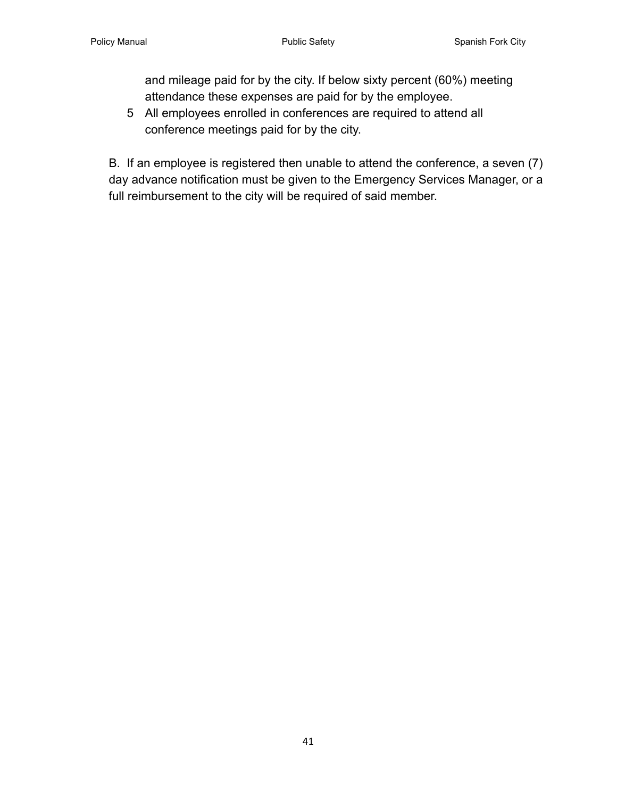and mileage paid for by the city. If below sixty percent (60%) meeting attendance these expenses are paid for by the employee.

5 All employees enrolled in conferences are required to attend all conference meetings paid for by the city.

B. If an employee is registered then unable to attend the conference, a seven (7) day advance notification must be given to the Emergency Services Manager, or a full reimbursement to the city will be required of said member.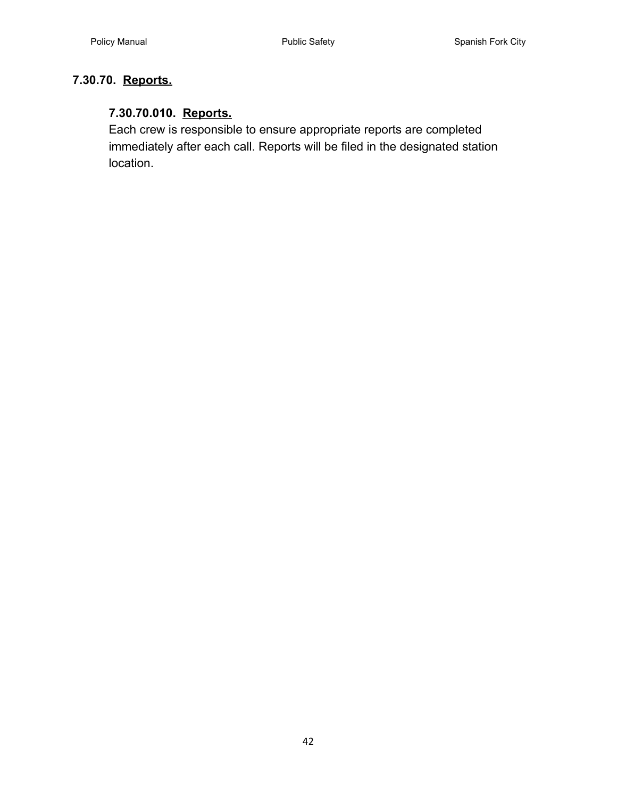# <span id="page-41-1"></span><span id="page-41-0"></span>**7.30.70. [Reports.](#page-3-3)**

# **7.30.70.010. [Reports.](#page-3-4)**

Each crew is responsible to ensure appropriate reports are completed immediately after each call. Reports will be filed in the designated station location.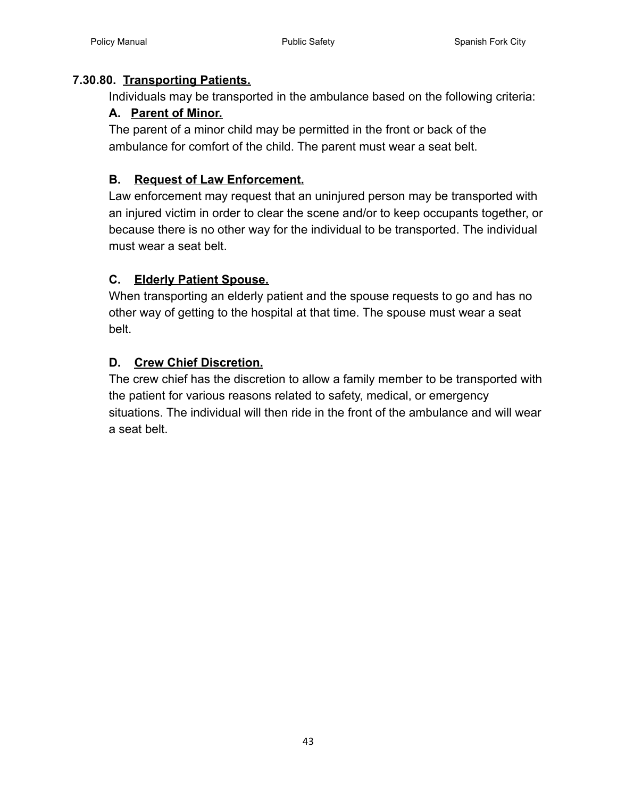#### <span id="page-42-1"></span><span id="page-42-0"></span>**7.30.80. [Transporting Patients.](#page-3-5)**

Individuals may be transported in the ambulance based on the following criteria:

# **A. [Parent of Minor.](#page-3-6)**

The parent of a minor child may be permitted in the front or back of the ambulance for comfort of the child. The parent must wear a seat belt.

# <span id="page-42-2"></span>**B. [Request of Law Enforcement.](#page-3-7)**

Law enforcement may request that an uninjured person may be transported with an injured victim in order to clear the scene and/or to keep occupants together, or because there is no other way for the individual to be transported. The individual must wear a seat belt.

# <span id="page-42-3"></span>**C. [Elderly Patient Spouse.](#page-3-8)**

When transporting an elderly patient and the spouse requests to go and has no other way of getting to the hospital at that time. The spouse must wear a seat belt.

# <span id="page-42-4"></span>**D. [Crew Chief Discretion.](#page-3-9)**

The crew chief has the discretion to allow a family member to be transported with the patient for various reasons related to safety, medical, or emergency situations. The individual will then ride in the front of the ambulance and will wear a seat belt.